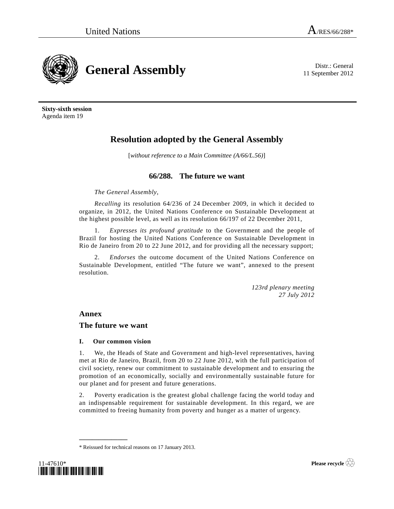

11 September 2012



**Sixty-sixth session**  Agenda item 19

# **Resolution adopted by the General Assembly**

[*without reference to a Main Committee (A/66/L.56)*]

# **66/288. The future we want**

*The General Assembly*,

*Recalling* its resolution 64/236 of 24 December 2009, in which it decided to organize, in 2012, the United Nations Conference on Sustainable Development at the highest possible level, as well as its resolution 66/197 of 22 December 2011,

 1. *Expresses its profound gratitude* to the Government and the people of Brazil for hosting the United Nations Conference on Sustainable Development in Rio de Janeiro from 20 to 22 June 2012, and for providing all the necessary support;

 2. *Endorses* the outcome document of the United Nations Conference on Sustainable Development, entitled "The future we want", annexed to the present resolution.

> *123rd plenary meeting 27 July 2012*

# **Annex**

# **The future we want**

# **I. Our common vision**

**\_\_\_\_\_\_\_\_\_\_\_\_\_\_\_** 

1. We, the Heads of State and Government and high-level representatives, having met at Rio de Janeiro, Brazil, from 20 to 22 June 2012, with the full participation of civil society, renew our commitment to sustainable development and to ensuring the promotion of an economically, socially and environmentally sustainable future for our planet and for present and future generations.

2. Poverty eradication is the greatest global challenge facing the world today and an indispensable requirement for sustainable development. In this regard, we are committed to freeing humanity from poverty and hunger as a matter of urgency.

<sup>\*</sup> Reissued for technical reasons on 17 January 2013.

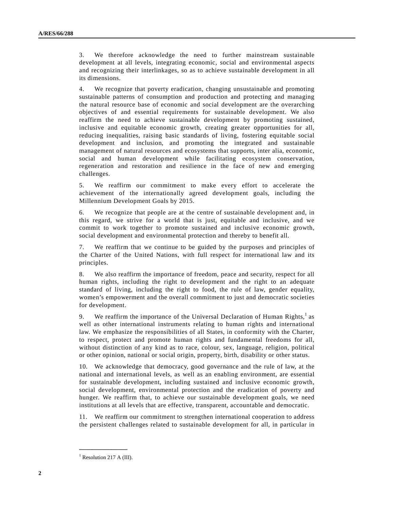3. We therefore acknowledge the need to further mainstream sustainable development at all levels, integrating economic, social and environmental aspects and recognizing their interlinkages, so as to achieve sustainable development in all its dimensions.

4. We recognize that poverty eradication, changing unsustainable and promoting sustainable patterns of consumption and production and protecting and managing the natural resource base of economic and social development are the overarching objectives of and essential requirements for sustainable development. We also reaffirm the need to achieve sustainable development by promoting sustained, inclusive and equitable economic growth, creating greater opportunities for all, reducing inequalities, raising basic standards of living, fostering equitable social development and inclusion, and promoting the integrated and sustainable management of natural resources and ecosystems that supports, inter alia, economic, social and human development while facilitating ecosystem conservation, regeneration and restoration and resilience in the face of new and emerging challenges.

5. We reaffirm our commitment to make every effort to accelerate the achievement of the internationally agreed development goals, including the Millennium Development Goals by 2015.

6. We recognize that people are at the centre of sustainable development and, in this regard, we strive for a world that is just, equitable and inclusive, and we commit to work together to promote sustained and inclusive economic growth, social development and environmental protection and thereby to benefit all.

7. We reaffirm that we continue to be guided by the purposes and principles of the Charter of the United Nations, with full respect for international law and its principles.

8. We also reaffirm the importance of freedom, peace and security, respect for all human rights, including the right to development and the right to an adequate standard of living, including the right to food, the rule of law, gender equality, women's empowerment and the overall commitment to just and democratic societies for development.

9. We reaffirm the importance of the Universal Declaration of Human Rights,  $^1$  as well as other international instruments relating to human rights and international law. We emphasize the responsibilities of all States, in conformity with the Charter, to respect, protect and promote human rights and fundamental freedoms for all, without distinction of any kind as to race, colour, sex, language, religion, political or other opinion, national or social origin, property, birth, disability or other status.

10. We acknowledge that democracy, good governance and the rule of law, at the national and international levels, as well as an enabling environment, are essential for sustainable development, including sustained and inclusive economic growth, social development, environmental protection and the eradication of poverty and hunger. We reaffirm that, to achieve our sustainable development goals, we need institutions at all levels that are effective, transparent, accountable and democratic.

11. We reaffirm our commitment to strengthen international cooperation to address the persistent challenges related to sustainable development for all, in particular in

**\_\_\_\_\_\_\_\_\_\_\_\_\_\_\_**   $<sup>1</sup>$  Resolution 217 A (III).</sup>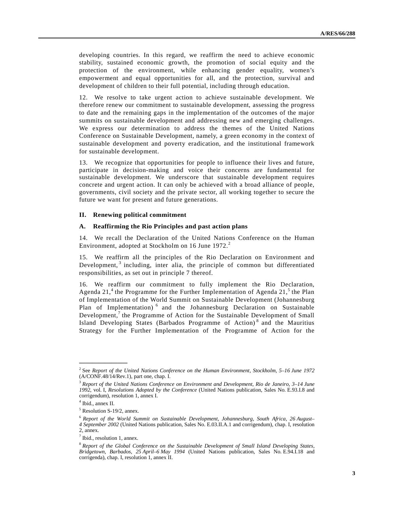developing countries. In this regard, we reaffirm the need to achieve economic stability, sustained economic growth, the promotion of social equity and the protection of the environment, while enhancing gender equality, women's empowerment and equal opportunities for all, and the protection, survival and development of children to their full potential, including through education.

12. We resolve to take urgent action to achieve sustainable development. We therefore renew our commitment to sustainable development, assessing the progress to date and the remaining gaps in the implementation of the outcomes of the major summits on sustainable development and addressing new and emerging challenges. We express our determination to address the themes of the United Nations Conference on Sustainable Development, namely, a green economy in the context of sustainable development and poverty eradication, and the institutional framework for sustainable development.

13. We recognize that opportunities for people to influence their lives and future, participate in decision-making and voice their concerns are fundamental for sustainable development. We underscore that sustainable development requires concrete and urgent action. It can only be achieved with a broad alliance of people, governments, civil society and the private sector, all working together to secure the future we want for present and future generations.

#### **II. Renewing political commitment**

# **A. Reaffirming the Rio Principles and past action plans**

14. We recall the Declaration of the United Nations Conference on the Human Environment, adopted at Stockholm on 16 June 1972.<sup>2</sup>

15. We reaffirm all the principles of the Rio Declaration on Environment and Development,<sup>3</sup> including, inter alia, the principle of common but differentiated responsibilities, as set out in principle 7 thereof.

16. We reaffirm our commitment to fully implement the Rio Declaration, Agenda 21,<sup>4</sup> the Programme for the Further Implementation of Agenda 21,<sup>5</sup> the Plan of Implementation of the World Summit on Sustainable Development (Johannesburg Plan of Implementation)<sup>6</sup> and the Johannesburg Declaration on Sustainable Development,<sup>7</sup> the Programme of Action for the Sustainable Development of Small Island Developing States (Barbados Programme of Action)<sup>8</sup> and the Mauritius Strategy for the Further Implementation of the Programme of Action for the

<sup>2</sup> See *Report of the United Nations Conference on the Human Environment, Stockholm, 5–16 June 1972* (A/CONF.48/14/Rev.1), part one, chap. I.

<sup>3</sup> *Report of the United Nations Conference on Environment and Development, Rio de Janeiro, 3–14 June 1992*, vol. I, *Resolutions Adopted by the Conference* (United Nations publication, Sales No. E.93.I.8 and corrigendum), resolution 1, annex I.

<sup>4</sup> Ibid., annex II.

<sup>5</sup> Resolution S-19/2, annex.

<sup>6</sup> *Report of the World Summit on Sustainable Development, Johannesburg, South Africa, 26 August– 4 September 2002* (United Nations publication, Sales No. E.03.II.A.1 and corrigendum), chap. I, resolution 2, annex.

<sup>&</sup>lt;sup>7</sup> Ibid., resolution 1, annex.

<sup>&</sup>lt;sup>8</sup> Report of the Global Conference on the Sustainable Development of Small Island Developing States, *Bridgetown, Barbados, 25 April–6 May 1994* (United Nations publication, Sales No. E.94.I.18 and corrigenda), chap. I, resolution 1, annex II.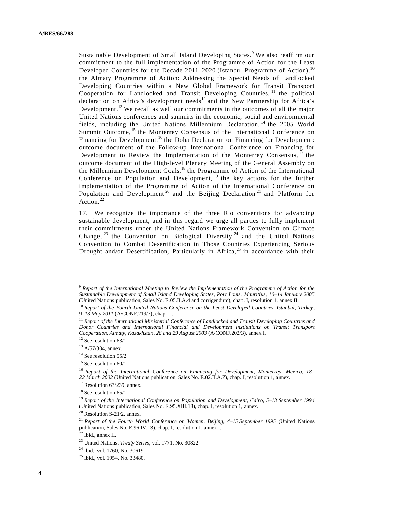Sustainable Development of Small Island Developing States.<sup>9</sup> We also reaffirm our commitment to the full implementation of the Programme of Action for the Least Developed Countries for the Decade 2011–2020 (Istanbul Programme of Action),  $10$ the Almaty Programme of Action: Addressing the Special Needs of Landlocked Developing Countries within a New Global Framework for Transit Transport Cooperation for Landlocked and Transit Developing Countries, <sup>11</sup> the political declaration on Africa's development needs<sup>12</sup> and the New Partnership for Africa's Development.<sup>13</sup> We recall as well our commitments in the outcomes of all the major United Nations conferences and summits in the economic, social and environmental fields, including the United Nations Millennium Declaration.<sup>14</sup> the 2005 World Summit Outcome, <sup>15</sup> the Monterrey Consensus of the International Conference on Financing for Development,<sup>16</sup> the Doha Declaration on Financing for Development: outcome document of the Follow-up International Conference on Financing for Development to Review the Implementation of the Monterrey Consensus,  $17$  the outcome document of the High-level Plenary Meeting of the General Assembly on the Millennium Development Goals,<sup>18</sup> the Programme of Action of the International Conference on Population and Development,  $19$  the key actions for the further implementation of the Programme of Action of the International Conference on Population and Development<sup>20</sup> and the Beijing Declaration<sup>21</sup> and Platform for Action.<sup>22</sup>

17. We recognize the importance of the three Rio conventions for advancing sustainable development, and in this regard we urge all parties to fully implement their commitments under the United Nations Framework Convention on Climate Change,  $^{23}$  the Convention on Biological Diversity  $^{24}$  and the United Nations Convention to Combat Desertification in Those Countries Experiencing Serious Drought and/or Desertification, Particularly in Africa,  $^{25}$  in accordance with their

<sup>&</sup>lt;sup>9</sup> Report of the International Meeting to Review the Implementation of the Programme of Action for the *Sustainable Development of Small Island Developing States, Port Louis, Mauritius, 10–14 January 2005* (United Nations publication, Sales No. E.05.II.A.4 and corrigendum), chap. I, resolution 1, annex II.

<sup>&</sup>lt;sup>10</sup> Report of the Fourth United Nations Conference on the Least Developed Countries, Istanbul, Turkey, *9–13 May 2011* (A/CONF.219/7), chap. II.

<sup>11</sup> *Report of the International Ministerial Conference of Landlocked and Transit Developing Countries and Donor Countries and International Financial and Development Institutions on Transit Transport Cooperation, Almaty, Kazakhstan, 28 and 29 August 2003* (A/CONF.202/3), annex I.

 $12$  See resolution 63/1.

<sup>13</sup> A/57/304, annex.

 $14$  See resolution 55/2.

<sup>&</sup>lt;sup>15</sup> See resolution 60/1.

<sup>16</sup> *Report of the International Conference on Financing for Development, Monterrey, Mexico, 18– 22 March 2002* (United Nations publication, Sales No. E.02.II.A.7), chap. I, resolution 1, annex.

<sup>&</sup>lt;sup>17</sup> Resolution 63/239, annex.

<sup>&</sup>lt;sup>18</sup> See resolution 65/1.

<sup>19</sup> *Report of the International Conference on Population and Development, Cairo, 5–13 September 1994*  (United Nations publication, Sales No. E.95.XIII.18), chap. I, resolution 1, annex.

<sup>20</sup> Resolution S-21/2, annex.

<sup>&</sup>lt;sup>21</sup> Report of the Fourth World Conference on Women, Beijing, 4–15 September 1995 (United Nations publication, Sales No. E.96.IV.13), chap. I, resolution 1, annex I.

<sup>22</sup> Ibid., annex II.

<sup>23</sup> United Nations, *Treaty Series*, vol. 1771, No. 30822.

<sup>24</sup> Ibid., vol. 1760, No. 30619.

<sup>25</sup> Ibid., vol. 1954, No. 33480.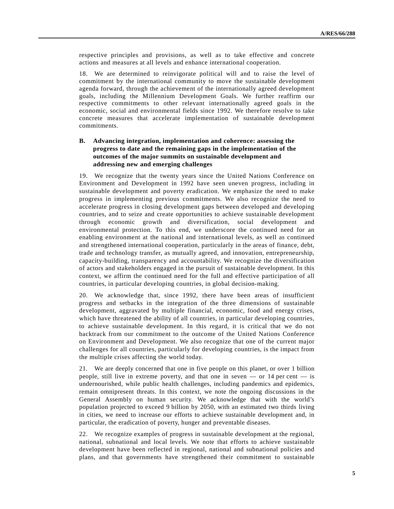respective principles and provisions, as well as to take effective and concrete actions and measures at all levels and enhance international cooperation.

18. We are determined to reinvigorate political will and to raise the level of commitment by the international community to move the sustainable development agenda forward, through the achievement of the internationally agreed development goals, including the Millennium Development Goals. We further reaffirm our respective commitments to other relevant internationally agreed goals in the economic, social and environmental fields since 1992. We therefore resolve to take concrete measures that accelerate implementation of sustainable development commitments.

# **B. Advancing integration, implementation and coherence: assessing the progress to date and the remaining gaps in the implementation of the outcomes of the major summits on sustainable development and addressing new and emerging challenges**

19. We recognize that the twenty years since the United Nations Conference on Environment and Development in 1992 have seen uneven progress, including in sustainable development and poverty eradication. We emphasize the need to make progress in implementing previous commitments. We also recognize the need to accelerate progress in closing development gaps between developed and developing countries, and to seize and create opportunities to achieve sustainable development through economic growth and diversification, social development environmental protection. To this end, we underscore the continued need for an enabling environment at the national and international levels, as well as continued and strengthened international cooperation, particularly in the areas of finance, debt, trade and technology transfer, as mutually agreed, and innovation, entrepreneurship, capacity-building, transparency and accountability. We recognize the diversification of actors and stakeholders engaged in the pursuit of sustainable development. In this context, we affirm the continued need for the full and effective participation of all countries, in particular developing countries, in global decision-making.

20. We acknowledge that, since 1992, there have been areas of insufficient progress and setbacks in the integration of the three dimensions of sustainable development, aggravated by multiple financial, economic, food and energy crises, which have threatened the ability of all countries, in particular developing countries, to achieve sustainable development. In this regard, it is critical that we do not backtrack from our commitment to the outcome of the United Nations Conference on Environment and Development. We also recognize that one of the current major challenges for all countries, particularly for developing countries, is the impact from the multiple crises affecting the world today.

21. We are deeply concerned that one in five people on this planet, or over 1 billion people, still live in extreme poverty, and that one in seven  $-$  or 14 per cent  $-$  is undernourished, while public health challenges, including pandemics and epidemics, remain omnipresent threats. In this context, we note the ongoing discussions in the General Assembly on human security. We acknowledge that with the world's population projected to exceed 9 billion by 2050, with an estimated two thirds living in cities, we need to increase our efforts to achieve sustainable development and, in particular, the eradication of poverty, hunger and preventable diseases.

22. We recognize examples of progress in sustainable development at the regional, national, subnational and local levels. We note that efforts to achieve sustainable development have been reflected in regional, national and subnational policies and plans, and that governments have strengthened their commitment to sustainable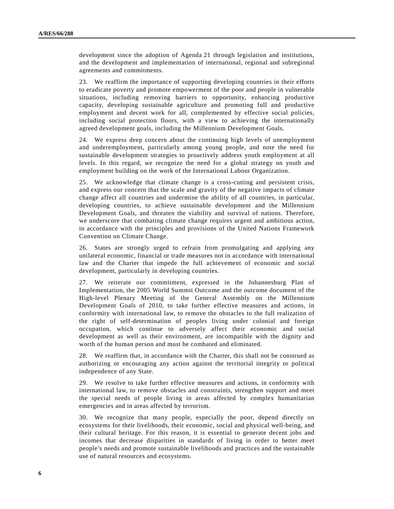development since the adoption of Agenda 21 through legislation and institutions, and the development and implementation of international, regional and subregional agreements and commitments.

23. We reaffirm the importance of supporting developing countries in their efforts to eradicate poverty and promote empowerment of the poor and people in vulnerable situations, including removing barriers to opportunity, enhancing productive capacity, developing sustainable agriculture and promoting full and productive employment and decent work for all, complemented by effective social policies, including social protection floors, with a view to achieving the internationally agreed development goals, including the Millennium Development Goals.

24. We express deep concern about the continuing high levels of unemployment and underemployment, particularly among young people, and note the need for sustainable development strategies to proactively address youth employment at all levels. In this regard, we recognize the need for a global strategy on youth and employment building on the work of the International Labour Organization.

25. We acknowledge that climate change is a cross-cutting and persistent crisis, and express our concern that the scale and gravity of the negative impacts of climate change affect all countries and undermine the ability of all countries, in particular, developing countries, to achieve sustainable development and the Millennium Development Goals, and threaten the viability and survival of nations. Therefore, we underscore that combating climate change requires urgent and ambitious action, in accordance with the principles and provisions of the United Nations Framework Convention on Climate Change.

26. States are strongly urged to refrain from promulgating and applying any unilateral economic, financial or trade measures not in accordance with international law and the Charter that impede the full achievement of economic and social development, particularly in developing countries.

27. We reiterate our commitment, expressed in the Johannesburg Plan of Implementation, the 2005 World Summit Outcome and the outcome document of the High-level Plenary Meeting of the General Assembly on the Millennium Development Goals of 2010, to take further effective measures and actions, in conformity with international law, to remove the obstacles to the full realization of the right of self-determination of peoples living under colonial and foreign occupation, which continue to adversely affect their economic and social development as well as their environment, are incompatible with the dignity and worth of the human person and must be combated and eliminated.

28. We reaffirm that, in accordance with the Charter, this shall not be construed as authorizing or encouraging any action against the territorial integrity or political independence of any State.

29. We resolve to take further effective measures and actions, in conformity with international law, to remove obstacles and constraints, strengthen support and meet the special needs of people living in areas affected by complex humanitarian emergencies and in areas affected by terrorism.

30. We recognize that many people, especially the poor, depend directly on ecosystems for their livelihoods, their economic, social and physical well-being, and their cultural heritage. For this reason, it is essential to generate decent jobs and incomes that decrease disparities in standards of living in order to better meet people's needs and promote sustainable livelihoods and practices and the sustainable use of natural resources and ecosystems.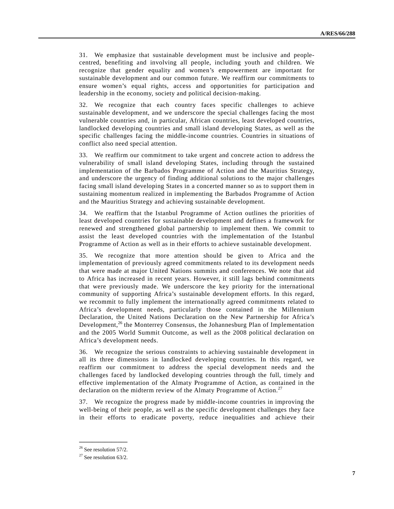31. We emphasize that sustainable development must be inclusive and peoplecentred, benefiting and involving all people, including youth and children. We recognize that gender equality and women's empowerment are important for sustainable development and our common future. We reaffirm our commitments to ensure women's equal rights, access and opportunities for participation and leadership in the economy, society and political decision-making.

32. We recognize that each country faces specific challenges to achieve sustainable development, and we underscore the special challenges facing the most vulnerable countries and, in particular, African countries, least developed countries, landlocked developing countries and small island developing States, as well as the specific challenges facing the middle-income countries. Countries in situations of conflict also need special attention.

33. We reaffirm our commitment to take urgent and concrete action to address the vulnerability of small island developing States, including through the sustained implementation of the Barbados Programme of Action and the Mauritius Strategy, and underscore the urgency of finding additional solutions to the major challenges facing small island developing States in a concerted manner so as to support them in sustaining momentum realized in implementing the Barbados Programme of Action and the Mauritius Strategy and achieving sustainable development.

34. We reaffirm that the Istanbul Programme of Action outlines the priorities of least developed countries for sustainable development and defines a framework for renewed and strengthened global partnership to implement them. We commit to assist the least developed countries with the implementation of the Istanbul Programme of Action as well as in their efforts to achieve sustainable development.

35. We recognize that more attention should be given to Africa and the implementation of previously agreed commitments related to its development needs that were made at major United Nations summits and conferences. We note that aid to Africa has increased in recent years. However, it still lags behind commitments that were previously made. We underscore the key priority for the international community of supporting Africa's sustainable development efforts. In this regard, we recommit to fully implement the internationally agreed commitments related to Africa's development needs, particularly those contained in the Millennium Declaration, the United Nations Declaration on the New Partnership for Africa's Development, $^{26}$  the Monterrey Consensus, the Johannesburg Plan of Implementation and the 2005 World Summit Outcome, as well as the 2008 political declaration on Africa's development needs.

36. We recognize the serious constraints to achieving sustainable development in all its three dimensions in landlocked developing countries. In this regard, we reaffirm our commitment to address the special development needs and the challenges faced by landlocked developing countries through the full, timely and effective implementation of the Almaty Programme of Action, as contained in the declaration on the midterm review of the Almaty Programme of Action.<sup>27</sup>

37. We recognize the progress made by middle-income countries in improving the well-being of their people, as well as the specific development challenges they face in their efforts to eradicate poverty, reduce inequalities and achieve their

**\_\_\_\_\_\_\_\_\_\_\_\_\_\_\_**   $26$  See resolution 57/2.

 $27$  See resolution 63/2.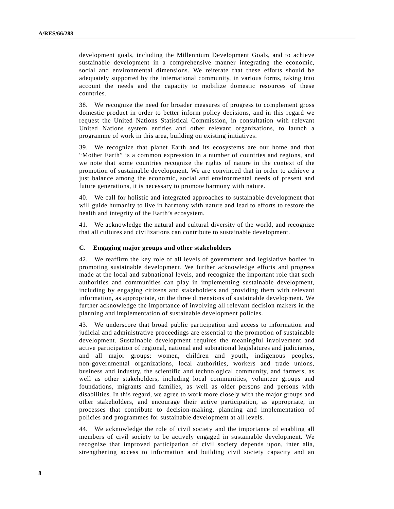development goals, including the Millennium Development Goals, and to achieve sustainable development in a comprehensive manner integrating the economic, social and environmental dimensions. We reiterate that these efforts should be adequately supported by the international community, in various forms, taking into account the needs and the capacity to mobilize domestic resources of these countries.

38. We recognize the need for broader measures of progress to complement gross domestic product in order to better inform policy decisions, and in this regard we request the United Nations Statistical Commission, in consultation with relevant United Nations system entities and other relevant organizations, to launch a programme of work in this area, building on existing initiatives.

39. We recognize that planet Earth and its ecosystems are our home and that "Mother Earth" is a common expression in a number of countries and regions, and we note that some countries recognize the rights of nature in the context of the promotion of sustainable development. We are convinced that in order to achieve a just balance among the economic, social and environmental needs of present and future generations, it is necessary to promote harmony with nature.

40. We call for holistic and integrated approaches to sustainable development that will guide humanity to live in harmony with nature and lead to efforts to restore the health and integrity of the Earth's ecosystem.

41. We acknowledge the natural and cultural diversity of the world, and recognize that all cultures and civilizations can contribute to sustainable development.

# **C. Engaging major groups and other stakeholders**

42. We reaffirm the key role of all levels of government and legislative bodies in promoting sustainable development. We further acknowledge efforts and progress made at the local and subnational levels, and recognize the important role that such authorities and communities can play in implementing sustainable development, including by engaging citizens and stakeholders and providing them with relevant information, as appropriate, on the three dimensions of sustainable development. We further acknowledge the importance of involving all relevant decision makers in the planning and implementation of sustainable development policies.

43. We underscore that broad public participation and access to information and judicial and administrative proceedings are essential to the promotion of sustainable development. Sustainable development requires the meaningful involvement and active participation of regional, national and subnational legislatures and judiciaries, and all major groups: women, children and youth, indigenous peoples, non-governmental organizations, local authorities, workers and trade unions, business and industry, the scientific and technological community, and farmers, as well as other stakeholders, including local communities, volunteer groups and foundations, migrants and families, as well as older persons and persons with disabilities. In this regard, we agree to work more closely with the major groups and other stakeholders, and encourage their active participation, as appropriate, in processes that contribute to decision-making, planning and implementation of policies and programmes for sustainable development at all levels.

44. We acknowledge the role of civil society and the importance of enabling all members of civil society to be actively engaged in sustainable development. We recognize that improved participation of civil society depends upon, inter alia, strengthening access to information and building civil society capacity and an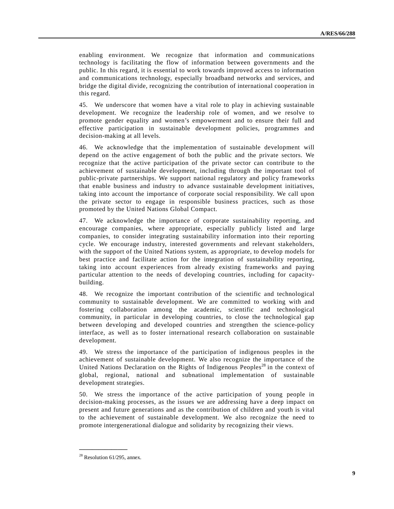enabling environment. We recognize that information and communications technology is facilitating the flow of information between governments and the public. In this regard, it is essential to work towards improved access to information and communications technology, especially broadband networks and services, and bridge the digital divide, recognizing the contribution of international cooperation in this regard.

45. We underscore that women have a vital role to play in achieving sustainable development. We recognize the leadership role of women, and we resolve to promote gender equality and women's empowerment and to ensure their full and effective participation in sustainable development policies, programmes and decision-making at all levels.

46. We acknowledge that the implementation of sustainable development will depend on the active engagement of both the public and the private sectors. We recognize that the active participation of the private sector can contribute to the achievement of sustainable development, including through the important tool of public-private partnerships. We support national regulatory and policy frameworks that enable business and industry to advance sustainable development initiatives, taking into account the importance of corporate social responsibility. We call upon the private sector to engage in responsible business practices, such as those promoted by the United Nations Global Compact.

47. We acknowledge the importance of corporate sustainability reporting, and encourage companies, where appropriate, especially publicly listed and large companies, to consider integrating sustainability information into their reporting cycle. We encourage industry, interested governments and relevant stakeholders, with the support of the United Nations system, as appropriate, to develop models for best practice and facilitate action for the integration of sustainability reporting, taking into account experiences from already existing frameworks and paying particular attention to the needs of developing countries, including for capacitybuilding.

48. We recognize the important contribution of the scientific and technological community to sustainable development. We are committed to working with and fostering collaboration among the academic, scientific and technological community, in particular in developing countries, to close the technological gap between developing and developed countries and strengthen the science-policy interface, as well as to foster international research collaboration on sustainable development.

49. We stress the importance of the participation of indigenous peoples in the achievement of sustainable development. We also recognize the importance of the United Nations Declaration on the Rights of Indigenous Peoples<sup>28</sup> in the context of global, regional, national and subnational implementation of sustainable development strategies.

50. We stress the importance of the active participation of young people in decision-making processes, as the issues we are addressing have a deep impact on present and future generations and as the contribution of children and youth is vital to the achievement of sustainable development. We also recognize the need to promote intergenerational dialogue and solidarity by recognizing their views.

<sup>28</sup> Resolution 61/295, annex.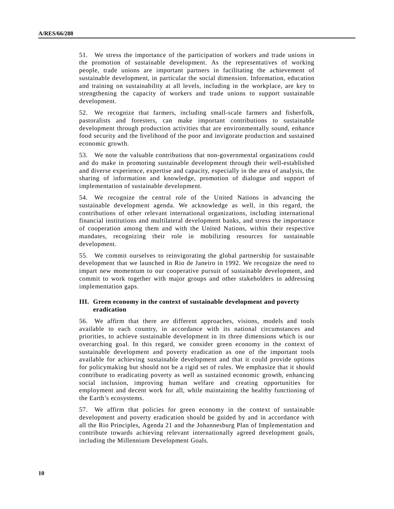51. We stress the importance of the participation of workers and trade unions in the promotion of sustainable development. As the representatives of working people, trade unions are important partners in facilitating the achievement of sustainable development, in particular the social dimension. Information, education and training on sustainability at all levels, including in the workplace, are key to strengthening the capacity of workers and trade unions to support sustainable development.

52. We recognize that farmers, including small-scale farmers and fisherfolk, pastoralists and foresters, can make important contributions to sustainable development through production activities that are environmentally sound, enhance food security and the livelihood of the poor and invigorate production and sustained economic growth.

53. We note the valuable contributions that non-governmental organizations could and do make in promoting sustainable development through their well-established and diverse experience, expertise and capacity, especially in the area of analysis, the sharing of information and knowledge, promotion of dialogue and support of implementation of sustainable development.

54. We recognize the central role of the United Nations in advancing the sustainable development agenda. We acknowledge as well, in this regard, the contributions of other relevant international organizations, including international financial institutions and multilateral development banks, and stress the importance of cooperation among them and with the United Nations, within their respective mandates, recognizing their role in mobilizing resources for sustainable development.

55. We commit ourselves to reinvigorating the global partnership for sustainable development that we launched in Rio de Janeiro in 1992. We recognize the need to impart new momentum to our cooperative pursuit of sustainable development, and commit to work together with major groups and other stakeholders in addressing implementation gaps.

# **III. Green economy in the context of sustainable development and poverty eradication**

56. We affirm that there are different approaches, visions, models and tools available to each country, in accordance with its national circumstances and priorities, to achieve sustainable development in its three dimensions which is our overarching goal. In this regard, we consider green economy in the context of sustainable development and poverty eradication as one of the important tools available for achieving sustainable development and that it could provide options for policymaking but should not be a rigid set of rules. We emphasize that it should contribute to eradicating poverty as well as sustained economic growth, enhancing social inclusion, improving human welfare and creating opportunities for employment and decent work for all, while maintaining the healthy functioning of the Earth's ecosystems.

57. We affirm that policies for green economy in the context of sustainable development and poverty eradication should be guided by and in accordance with all the Rio Principles, Agenda 21 and the Johannesburg Plan of Implementation and contribute towards achieving relevant internationally agreed development goals, including the Millennium Development Goals.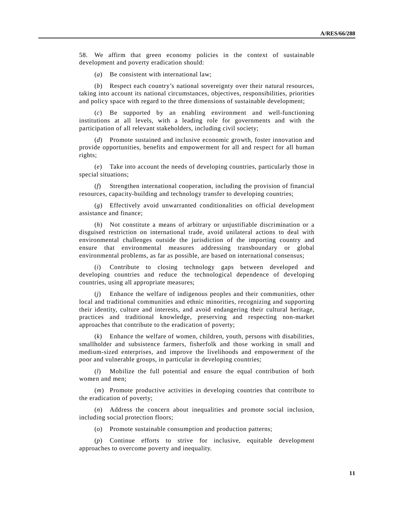58. We affirm that green economy policies in the context of sustainable development and poverty eradication should:

(*a*) Be consistent with international law;

 (*b*) Respect each country's national sovereignty over their natural resources, taking into account its national circumstances, objectives, responsibilities, priorities and policy space with regard to the three dimensions of sustainable development;

 (*c*) Be supported by an enabling environment and well-functioning institutions at all levels, with a leading role for governments and with the participation of all relevant stakeholders, including civil society;

 (*d*) Promote sustained and inclusive economic growth, foster innovation and provide opportunities, benefits and empowerment for all and respect for all human rights;

 (*e*) Take into account the needs of developing countries, particularly those in special situations;

 (*f*) Strengthen international cooperation, including the provision of financial resources, capacity-building and technology transfer to developing countries;

 (*g*) Effectively avoid unwarranted conditionalities on official development assistance and finance;

 (*h*) Not constitute a means of arbitrary or unjustifiable discrimination or a disguised restriction on international trade, avoid unilateral actions to deal with environmental challenges outside the jurisdiction of the importing country and ensure that environmental measures addressing transboundary or global environmental problems, as far as possible, are based on international consensus;

 (*i*) Contribute to closing technology gaps between developed and developing countries and reduce the technological dependence of developing countries, using all appropriate measures;

 (*j*) Enhance the welfare of indigenous peoples and their communities, other local and traditional communities and ethnic minorities, recognizing and supporting their identity, culture and interests, and avoid endangering their cultural heritage, practices and traditional knowledge, preserving and respecting non-market approaches that contribute to the eradication of poverty;

 (*k*) Enhance the welfare of women, children, youth, persons with disabilities, smallholder and subsistence farmers, fisherfolk and those working in small and medium-sized enterprises, and improve the livelihoods and empowerment of the poor and vulnerable groups, in particular in developing countries;

 (*l*) Mobilize the full potential and ensure the equal contribution of both women and men;

 (*m*) Promote productive activities in developing countries that contribute to the eradication of poverty;

 (*n*) Address the concern about inequalities and promote social inclusion, including social protection floors;

(*o*) Promote sustainable consumption and production patterns;

 (*p*) Continue efforts to strive for inclusive, equitable development approaches to overcome poverty and inequality.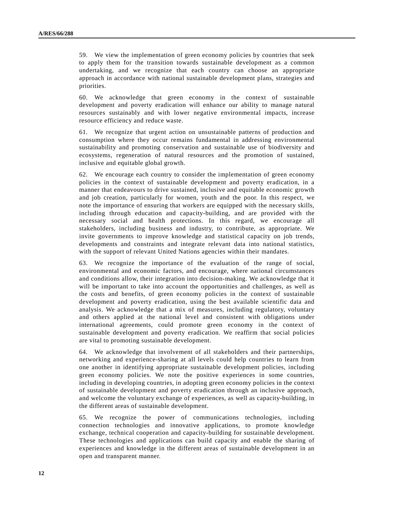59. We view the implementation of green economy policies by countries that seek to apply them for the transition towards sustainable development as a common undertaking, and we recognize that each country can choose an appropriate approach in accordance with national sustainable development plans, strategies and priorities.

60. We acknowledge that green economy in the context of sustainable development and poverty eradication will enhance our ability to manage natural resources sustainably and with lower negative environmental impacts, increase resource efficiency and reduce waste.

61. We recognize that urgent action on unsustainable patterns of production and consumption where they occur remains fundamental in addressing environmental sustainability and promoting conservation and sustainable use of biodiversity and ecosystems, regeneration of natural resources and the promotion of sustained, inclusive and equitable global growth.

62. We encourage each country to consider the implementation of green economy policies in the context of sustainable development and poverty eradication, in a manner that endeavours to drive sustained, inclusive and equitable economic growth and job creation, particularly for women, youth and the poor. In this respect, we note the importance of ensuring that workers are equipped with the necessary skills, including through education and capacity-building, and are provided with the necessary social and health protections. In this regard, we encourage all stakeholders, including business and industry, to contribute, as appropriate. We invite governments to improve knowledge and statistical capacity on job trends, developments and constraints and integrate relevant data into national statistics, with the support of relevant United Nations agencies within their mandates.

63. We recognize the importance of the evaluation of the range of social, environmental and economic factors, and encourage, where national circumstances and conditions allow, their integration into decision-making. We acknowledge that it will be important to take into account the opportunities and challenges, as well as the costs and benefits, of green economy policies in the context of sustainable development and poverty eradication, using the best available scientific data and analysis. We acknowledge that a mix of measures, including regulatory, voluntary and others applied at the national level and consistent with obligations under international agreements, could promote green economy in the context of sustainable development and poverty eradication. We reaffirm that social policies are vital to promoting sustainable development.

64. We acknowledge that involvement of all stakeholders and their partnerships, networking and experience-sharing at all levels could help countries to learn from one another in identifying appropriate sustainable development policies, including green economy policies. We note the positive experiences in some countries, including in developing countries, in adopting green economy policies in the context of sustainable development and poverty eradication through an inclusive approach, and welcome the voluntary exchange of experiences, as well as capacity-building, in the different areas of sustainable development.

65. We recognize the power of communications technologies, including connection technologies and innovative applications, to promote knowledge exchange, technical cooperation and capacity-building for sustainable development. These technologies and applications can build capacity and enable the sharing of experiences and knowledge in the different areas of sustainable development in an open and transparent manner.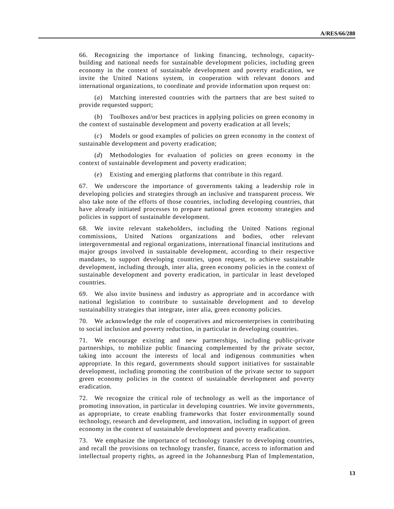66. Recognizing the importance of linking financing, technology, capacitybuilding and national needs for sustainable development policies, including green economy in the context of sustainable development and poverty eradication, we invite the United Nations system, in cooperation with relevant donors and international organizations, to coordinate and provide information upon request on:

 (*a*) Matching interested countries with the partners that are best suited to provide requested support;

 (*b*) Toolboxes and/or best practices in applying policies on green economy in the context of sustainable development and poverty eradication at all levels;

 (*c*) Models or good examples of policies on green economy in the context of sustainable development and poverty eradication;

 (*d*) Methodologies for evaluation of policies on green economy in the context of sustainable development and poverty eradication;

(*e*) Existing and emerging platforms that contribute in this regard.

67. We underscore the importance of governments taking a leadership role in developing policies and strategies through an inclusive and transparent process. We also take note of the efforts of those countries, including developing countries, that have already initiated processes to prepare national green economy strategies and policies in support of sustainable development.

68. We invite relevant stakeholders, including the United Nations regional commissions, United Nations organizations and bodies, other relevant intergovernmental and regional organizations, international financial institutions and major groups involved in sustainable development, according to their respective mandates, to support developing countries, upon request, to achieve sustainable development, including through, inter alia, green economy policies in the context of sustainable development and poverty eradication, in particular in least developed countries.

69. We also invite business and industry as appropriate and in accordance with national legislation to contribute to sustainable development and to develop sustainability strategies that integrate, inter alia, green economy policies.

70. We acknowledge the role of cooperatives and microenterprises in contributing to social inclusion and poverty reduction, in particular in developing countries.

71. We encourage existing and new partnerships, including public-private partnerships, to mobilize public financing complemented by the private sector, taking into account the interests of local and indigenous communities when appropriate. In this regard, governments should support initiatives for sustainable development, including promoting the contribution of the private sector to support green economy policies in the context of sustainable development and poverty eradication.

72. We recognize the critical role of technology as well as the importance of promoting innovation, in particular in developing countries. We invite governments, as appropriate, to create enabling frameworks that foster environmentally sound technology, research and development, and innovation, including in support of green economy in the context of sustainable development and poverty eradication.

73. We emphasize the importance of technology transfer to developing countries, and recall the provisions on technology transfer, finance, access to information and intellectual property rights, as agreed in the Johannesburg Plan of Implementation,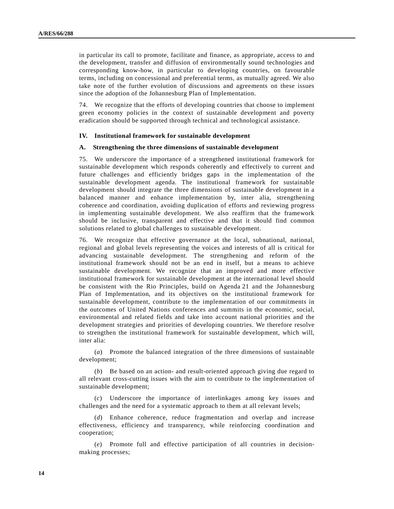in particular its call to promote, facilitate and finance, as appropriate, access to and the development, transfer and diffusion of environmentally sound technologies and corresponding know-how, in particular to developing countries, on favourable terms, including on concessional and preferential terms, as mutually agreed. We also take note of the further evolution of discussions and agreements on these issues since the adoption of the Johannesburg Plan of Implementation.

74. We recognize that the efforts of developing countries that choose to implement green economy policies in the context of sustainable development and poverty eradication should be supported through technical and technological assistance.

## **IV. Institutional framework for sustainable development**

## **A. Strengthening the three dimensions of sustainable development**

75. We underscore the importance of a strengthened institutional framework for sustainable development which responds coherently and effectively to current and future challenges and efficiently bridges gaps in the implementation of the sustainable development agenda. The institutional framework for sustainable development should integrate the three dimensions of sustainable development in a balanced manner and enhance implementation by, inter alia, strengthening coherence and coordination, avoiding duplication of efforts and reviewing progress in implementing sustainable development. We also reaffirm that the framework should be inclusive, transparent and effective and that it should find common solutions related to global challenges to sustainable development.

76. We recognize that effective governance at the local, subnational, national, regional and global levels representing the voices and interests of all is critical for advancing sustainable development. The strengthening and reform of the institutional framework should not be an end in itself, but a means to achieve sustainable development. We recognize that an improved and more effective institutional framework for sustainable development at the international level should be consistent with the Rio Principles, build on Agenda 21 and the Johannesburg Plan of Implementation, and its objectives on the institutional framework for sustainable development, contribute to the implementation of our commitments in the outcomes of United Nations conferences and summits in the economic, social, environmental and related fields and take into account national priorities and the development strategies and priorities of developing countries. We therefore resolve to strengthen the institutional framework for sustainable development, which will, inter alia:

 (*a*) Promote the balanced integration of the three dimensions of sustainable development;

 (*b*) Be based on an action- and result-oriented approach giving due regard to all relevant cross-cutting issues with the aim to contribute to the implementation of sustainable development;

 (*c*) Underscore the importance of interlinkages among key issues and challenges and the need for a systematic approach to them at all relevant levels;

 (*d*) Enhance coherence, reduce fragmentation and overlap and increase effectiveness, efficiency and transparency, while reinforcing coordination and cooperation;

 (*e*) Promote full and effective participation of all countries in decisionmaking processes;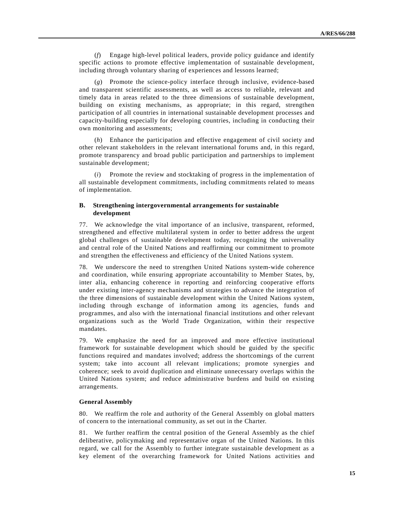(*f*) Engage high-level political leaders, provide policy guidance and identify specific actions to promote effective implementation of sustainable development, including through voluntary sharing of experiences and lessons learned;

 (*g*) Promote the science-policy interface through inclusive, evidence-based and transparent scientific assessments, as well as access to reliable, relevant and timely data in areas related to the three dimensions of sustainable development, building on existing mechanisms, as appropriate; in this regard, strengthen participation of all countries in international sustainable development processes and capacity-building especially for developing countries, including in conducting their own monitoring and assessments;

 (*h*) Enhance the participation and effective engagement of civil society and other relevant stakeholders in the relevant international forums and, in this regard, promote transparency and broad public participation and partnerships to implement sustainable development;

Promote the review and stocktaking of progress in the implementation of all sustainable development commitments, including commitments related to means of implementation.

# **B. Strengthening intergovernmental arrangements for sustainable development**

77. We acknowledge the vital importance of an inclusive, transparent, reformed, strengthened and effective multilateral system in order to better address the urgent global challenges of sustainable development today, recognizing the universality and central role of the United Nations and reaffirming our commitment to promote and strengthen the effectiveness and efficiency of the United Nations system.

78. We underscore the need to strengthen United Nations system-wide coherence and coordination, while ensuring appropriate accountability to Member States, by, inter alia, enhancing coherence in reporting and reinforcing cooperative efforts under existing inter-agency mechanisms and strategies to advance the integration of the three dimensions of sustainable development within the United Nations system, including through exchange of information among its agencies, funds and programmes, and also with the international financial institutions and other relevant organizations such as the World Trade Organization, within their respective mandates.

79. We emphasize the need for an improved and more effective institutional framework for sustainable development which should be guided by the specific functions required and mandates involved; address the shortcomings of the current system; take into account all relevant implications; promote synergies and coherence; seek to avoid duplication and eliminate unnecessary overlaps within the United Nations system; and reduce administrative burdens and build on existing arrangements.

# **General Assembly**

80. We reaffirm the role and authority of the General Assembly on global matters of concern to the international community, as set out in the Charter.

81. We further reaffirm the central position of the General Assembly as the chief deliberative, policymaking and representative organ of the United Nations. In this regard, we call for the Assembly to further integrate sustainable development as a key element of the overarching framework for United Nations activities and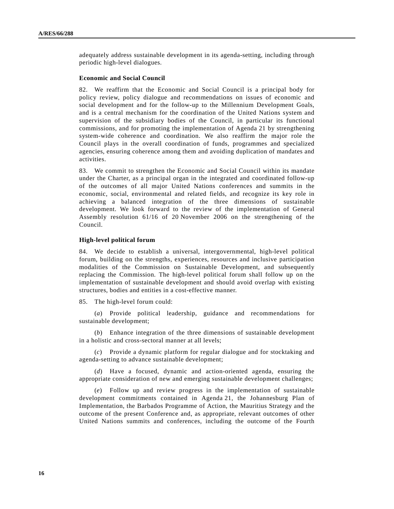adequately address sustainable development in its agenda-setting, including through periodic high-level dialogues.

#### **Economic and Social Council**

82. We reaffirm that the Economic and Social Council is a principal body for policy review, policy dialogue and recommendations on issues of economic and social development and for the follow-up to the Millennium Development Goals, and is a central mechanism for the coordination of the United Nations system and supervision of the subsidiary bodies of the Council, in particular its functional commissions, and for promoting the implementation of Agenda 21 by strengthening system-wide coherence and coordination. We also reaffirm the major role the Council plays in the overall coordination of funds, programmes and specialized agencies, ensuring coherence among them and avoiding duplication of mandates and activities.

83. We commit to strengthen the Economic and Social Council within its mandate under the Charter, as a principal organ in the integrated and coordinated follow-up of the outcomes of all major United Nations conferences and summits in the economic, social, environmental and related fields, and recognize its key role in achieving a balanced integration of the three dimensions of sustainable development. We look forward to the review of the implementation of General Assembly resolution 61/16 of 20 November 2006 on the strengthening of the Council.

# **High-level political forum**

84. We decide to establish a universal, intergovernmental, high-level political forum, building on the strengths, experiences, resources and inclusive participation modalities of the Commission on Sustainable Development, and subsequently replacing the Commission. The high-level political forum shall follow up on the implementation of sustainable development and should avoid overlap with existing structures, bodies and entities in a cost-effective manner.

85. The high-level forum could:

 (*a*) Provide political leadership, guidance and recommendations for sustainable development;

 (*b*) Enhance integration of the three dimensions of sustainable development in a holistic and cross-sectoral manner at all levels;

 (*c*) Provide a dynamic platform for regular dialogue and for stocktaking and agenda-setting to advance sustainable development;

 (*d*) Have a focused, dynamic and action-oriented agenda, ensuring the appropriate consideration of new and emerging sustainable development challenges;

 (*e*) Follow up and review progress in the implementation of sustainable development commitments contained in Agenda 21, the Johannesburg Plan of Implementation, the Barbados Programme of Action, the Mauritius Strategy and the outcome of the present Conference and, as appropriate, relevant outcomes of other United Nations summits and conferences, including the outcome of the Fourth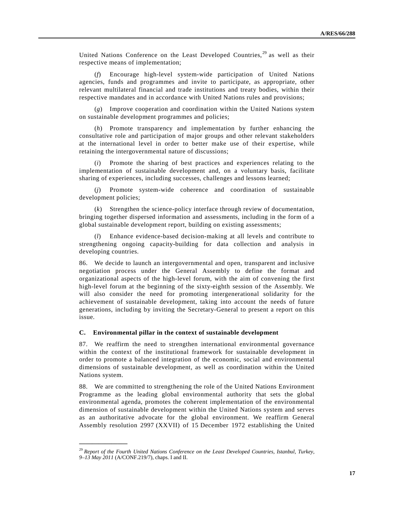United Nations Conference on the Least Developed Countries,  $2^9$  as well as their respective means of implementation;

 (*f*) Encourage high-level system-wide participation of United Nations agencies, funds and programmes and invite to participate, as appropriate, other relevant multilateral financial and trade institutions and treaty bodies, within their respective mandates and in accordance with United Nations rules and provisions;

 (*g*) Improve cooperation and coordination within the United Nations system on sustainable development programmes and policies;

 (*h*) Promote transparency and implementation by further enhancing the consultative role and participation of major groups and other relevant stakeholders at the international level in order to better make use of their expertise, while retaining the intergovernmental nature of discussions;

 (*i*) Promote the sharing of best practices and experiences relating to the implementation of sustainable development and, on a voluntary basis, facilitate sharing of experiences, including successes, challenges and lessons learned;

 (*j*) Promote system-wide coherence and coordination of sustainable development policies;

 (*k*) Strengthen the science-policy interface through review of documentation, bringing together dispersed information and assessments, including in the form of a global sustainable development report, building on existing assessments;

 (*l*) Enhance evidence-based decision-making at all levels and contribute to strengthening ongoing capacity-building for data collection and analysis in developing countries.

86. We decide to launch an intergovernmental and open, transparent and inclusive negotiation process under the General Assembly to define the format and organizational aspects of the high-level forum, with the aim of convening the first high-level forum at the beginning of the sixty-eighth session of the Assembly. We will also consider the need for promoting intergenerational solidarity for the achievement of sustainable development, taking into account the needs of future generations, including by inviting the Secretary-General to present a report on this issue.

## **C. Environmental pillar in the context of sustainable development**

87. We reaffirm the need to strengthen international environmental governance within the context of the institutional framework for sustainable development in order to promote a balanced integration of the economic, social and environmental dimensions of sustainable development, as well as coordination within the United Nations system.

88. We are committed to strengthening the role of the United Nations Environment Programme as the leading global environmental authority that sets the global environmental agenda, promotes the coherent implementation of the environmental dimension of sustainable development within the United Nations system and serves as an authoritative advocate for the global environment. We reaffirm General Assembly resolution 2997 (XXVII) of 15 December 1972 establishing the United

<sup>29</sup> *Report of the Fourth United Nations Conference on the Least Developed Countries, Istanbul, Turkey, 9–13 May 2011* (A/CONF.219/7), chaps. I and II.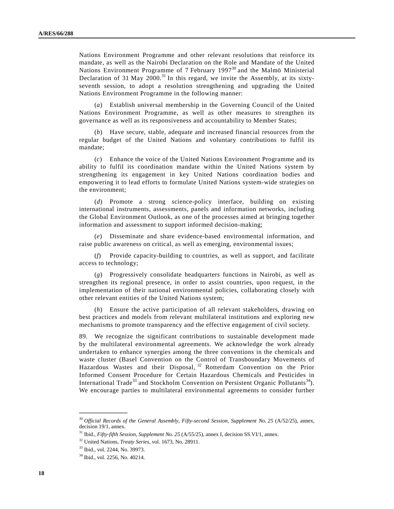Nations Environment Programme and other relevant resolutions that reinforce its mandate, as well as the Nairobi Declaration on the Role and Mandate of the United Nations Environment Programme of 7 February 1997 $30$  and the Malmö Ministerial Declaration of 31 May  $2000$ .<sup>31</sup> In this regard, we invite the Assembly, at its sixtyseventh session, to adopt a resolution strengthening and upgrading the United Nations Environment Programme in the following manner:

 (*a*) Establish universal membership in the Governing Council of the United Nations Environment Programme, as well as other measures to strengthen its governance as well as its responsiveness and accountability to Member States;

 (*b*) Have secure, stable, adequate and increased financial resources from the regular budget of the United Nations and voluntary contributions to fulfil its mandate;

 (*c*) Enhance the voice of the United Nations Environment Programme and its ability to fulfil its coordination mandate within the United Nations system by strengthening its engagement in key United Nations coordination bodies and empowering it to lead efforts to formulate United Nations system-wide strategies on the environment;

 (*d*) Promote a strong science-policy interface, building on existing international instruments, assessments, panels and information networks, including the Global Environment Outlook, as one of the processes aimed at bringing together information and assessment to support informed decision-making;

 (*e*) Disseminate and share evidence-based environmental information, and raise public awareness on critical, as well as emerging, environmental issues;

 (*f*) Provide capacity-building to countries, as well as support, and facilitate access to technology;

 (*g*) Progressively consolidate headquarters functions in Nairobi, as well as strengthen its regional presence, in order to assist countries, upon request, in the implementation of their national environmental policies, collaborating closely with other relevant entities of the United Nations system;

 (*h*) Ensure the active participation of all relevant stakeholders, drawing on best practices and models from relevant multilateral institutions and exploring new mechanisms to promote transparency and the effective engagement of civil society.

89. We recognize the significant contributions to sustainable development made by the multilateral environmental agreements. We acknowledge the work already undertaken to enhance synergies among the three conventions in the chemicals and waste cluster (Basel Convention on the Control of Transboundary Movements of Hazardous Wastes and their Disposal, <sup>32</sup> Rotterdam Convention on the Prior Informed Consent Procedure for Certain Hazardous Chemicals and Pesticides in International Trade<sup>33</sup> and Stockholm Convention on Persistent Organic Pollutants<sup>34</sup>). We encourage parties to multilateral environmental agreements to consider further

<sup>&</sup>lt;sup>30</sup> Official Records of the General Assembly, Fifty-second Session, Supplement No. 25 (A/52/25), annex, decision 19/1, annex.

<sup>&</sup>lt;sup>31</sup> Ibid., *Fifty-fifth Session, Supplement No. 25* (A/55/25), annex I, decision SS.VI/1, annex.

<sup>32</sup> United Nations, *Treaty Series*, vol. 1673, No. 28911.

<sup>33</sup> Ibid., vol. 2244, No. 39973.

<sup>34</sup> Ibid., vol. 2256, No. 40214.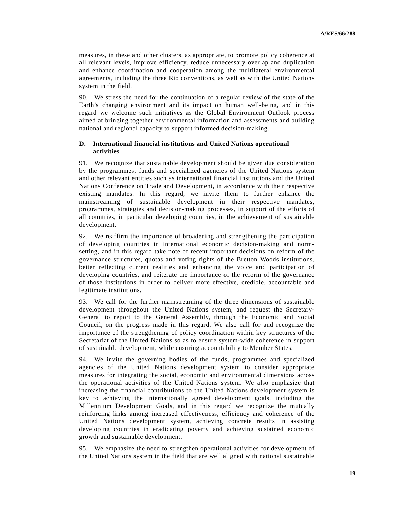measures, in these and other clusters, as appropriate, to promote policy coherence at all relevant levels, improve efficiency, reduce unnecessary overlap and duplication and enhance coordination and cooperation among the multilateral environmental agreements, including the three Rio conventions, as well as with the United Nations system in the field.

90. We stress the need for the continuation of a regular review of the state of the Earth's changing environment and its impact on human well-being, and in this regard we welcome such initiatives as the Global Environment Outlook process aimed at bringing together environmental information and assessments and building national and regional capacity to support informed decision-making.

# **D. International financial institutions and United Nations operational activities**

91. We recognize that sustainable development should be given due consideration by the programmes, funds and specialized agencies of the United Nations system and other relevant entities such as international financial institutions and the United Nations Conference on Trade and Development, in accordance with their respective existing mandates. In this regard, we invite them to further enhance the mainstreaming of sustainable development in their respective mandates, programmes, strategies and decision-making processes, in support of the efforts of all countries, in particular developing countries, in the achievement of sustainable development.

92. We reaffirm the importance of broadening and strengthening the participation of developing countries in international economic decision-making and normsetting, and in this regard take note of recent important decisions on reform of the governance structures, quotas and voting rights of the Bretton Woods institutions, better reflecting current realities and enhancing the voice and participation of developing countries, and reiterate the importance of the reform of the governance of those institutions in order to deliver more effective, credible, accountable and legitimate institutions.

93. We call for the further mainstreaming of the three dimensions of sustainable development throughout the United Nations system, and request the Secretary-General to report to the General Assembly, through the Economic and Social Council, on the progress made in this regard. We also call for and recognize the importance of the strengthening of policy coordination within key structures of the Secretariat of the United Nations so as to ensure system-wide coherence in support of sustainable development, while ensuring accountability to Member States.

94. We invite the governing bodies of the funds, programmes and specialized agencies of the United Nations development system to consider appropriate measures for integrating the social, economic and environmental dimensions across the operational activities of the United Nations system. We also emphasize that increasing the financial contributions to the United Nations development system is key to achieving the internationally agreed development goals, including the Millennium Development Goals, and in this regard we recognize the mutually reinforcing links among increased effectiveness, efficiency and coherence of the United Nations development system, achieving concrete results in assisting developing countries in eradicating poverty and achieving sustained economic growth and sustainable development.

95. We emphasize the need to strengthen operational activities for development of the United Nations system in the field that are well aligned with national sustainable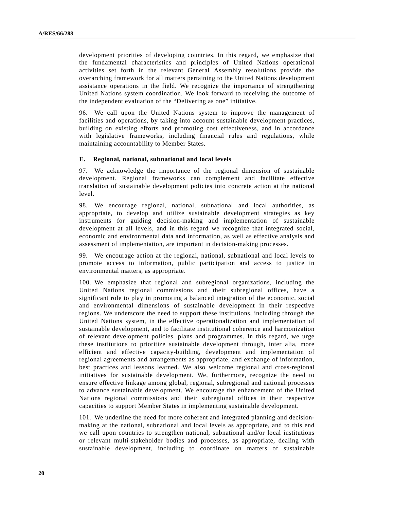development priorities of developing countries. In this regard, we emphasize that the fundamental characteristics and principles of United Nations operational activities set forth in the relevant General Assembly resolutions provide the overarching framework for all matters pertaining to the United Nations development assistance operations in the field. We recognize the importance of strengthening United Nations system coordination. We look forward to receiving the outcome of the independent evaluation of the "Delivering as one" initiative.

96. We call upon the United Nations system to improve the management of facilities and operations, by taking into account sustainable development practices, building on existing efforts and promoting cost effectiveness, and in accordance with legislative frameworks, including financial rules and regulations, while maintaining accountability to Member States.

# **E. Regional, national, subnational and local levels**

97. We acknowledge the importance of the regional dimension of sustainable development. Regional frameworks can complement and facilitate effective translation of sustainable development policies into concrete action at the national level.

98. We encourage regional, national, subnational and local authorities, as appropriate, to develop and utilize sustainable development strategies as key instruments for guiding decision-making and implementation of sustainable development at all levels, and in this regard we recognize that integrated social, economic and environmental data and information, as well as effective analysis and assessment of implementation, are important in decision-making processes.

99. We encourage action at the regional, national, subnational and local levels to promote access to information, public participation and access to justice in environmental matters, as appropriate.

100. We emphasize that regional and subregional organizations, including the United Nations regional commissions and their subregional offices, have a significant role to play in promoting a balanced integration of the economic, social and environmental dimensions of sustainable development in their respective regions. We underscore the need to support these institutions, including through the United Nations system, in the effective operationalization and implementation of sustainable development, and to facilitate institutional coherence and harmonization of relevant development policies, plans and programmes. In this regard, we urge these institutions to prioritize sustainable development through, inter alia, more efficient and effective capacity-building, development and implementation of regional agreements and arrangements as appropriate, and exchange of information, best practices and lessons learned. We also welcome regional and cross-regional initiatives for sustainable development. We, furthermore, recognize the need to ensure effective linkage among global, regional, subregional and national processes to advance sustainable development. We encourage the enhancement of the United Nations regional commissions and their subregional offices in their respective capacities to support Member States in implementing sustainable development.

101. We underline the need for more coherent and integrated planning and decisionmaking at the national, subnational and local levels as appropriate, and to this end we call upon countries to strengthen national, subnational and/or local institutions or relevant multi-stakeholder bodies and processes, as appropriate, dealing with sustainable development, including to coordinate on matters of sustainable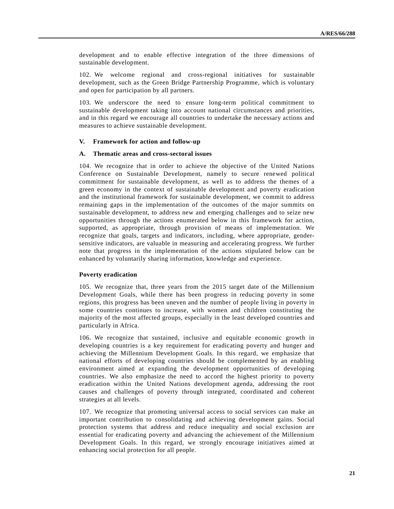development and to enable effective integration of the three dimensions of sustainable development.

102. We welcome regional and cross-regional initiatives for sustainable development, such as the Green Bridge Partnership Programme, which is voluntary and open for participation by all partners.

103. We underscore the need to ensure long-term political commitment to sustainable development taking into account national circumstances and priorities, and in this regard we encourage all countries to undertake the necessary actions and measures to achieve sustainable development.

# **V. Framework for action and follow-up**

#### **A. Thematic areas and cross-sectoral issues**

104. We recognize that in order to achieve the objective of the United Nations Conference on Sustainable Development, namely to secure renewed political commitment for sustainable development, as well as to address the themes of a green economy in the context of sustainable development and poverty eradication and the institutional framework for sustainable development, we commit to address remaining gaps in the implementation of the outcomes of the major summits on sustainable development, to address new and emerging challenges and to seize new opportunities through the actions enumerated below in this framework for action, supported, as appropriate, through provision of means of implementation. We recognize that goals, targets and indicators, including, where appropriate, gendersensitive indicators, are valuable in measuring and accelerating progress. We further note that progress in the implementation of the actions stipulated below can be enhanced by voluntarily sharing information, knowledge and experience.

#### **Poverty eradication**

105. We recognize that, three years from the 2015 target date of the Millennium Development Goals, while there has been progress in reducing poverty in some regions, this progress has been uneven and the number of people living in poverty in some countries continues to increase, with women and children constituting the majority of the most affected groups, especially in the least developed countries and particularly in Africa.

106. We recognize that sustained, inclusive and equitable economic growth in developing countries is a key requirement for eradicating poverty and hunger and achieving the Millennium Development Goals. In this regard, we emphasize that national efforts of developing countries should be complemented by an enabling environment aimed at expanding the development opportunities of developing countries. We also emphasize the need to accord the highest priority to poverty eradication within the United Nations development agenda, addressing the root causes and challenges of poverty through integrated, coordinated and coherent strategies at all levels.

107. We recognize that promoting universal access to social services can make an important contribution to consolidating and achieving development gains. Social protection systems that address and reduce inequality and social exclusion are essential for eradicating poverty and advancing the achievement of the Millennium Development Goals. In this regard, we strongly encourage initiatives aimed at enhancing social protection for all people.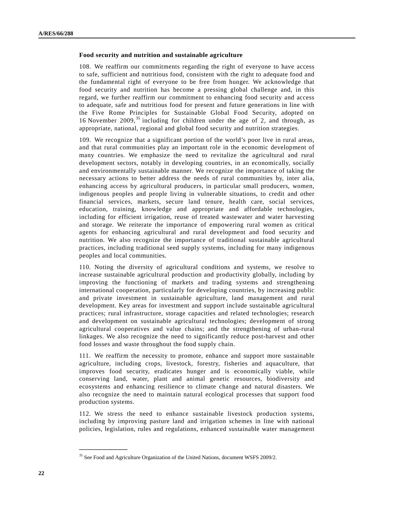### **Food security and nutrition and sustainable agriculture**

108. We reaffirm our commitments regarding the right of everyone to have access to safe, sufficient and nutritious food, consistent with the right to adequate food and the fundamental right of everyone to be free from hunger. We acknowledge that food security and nutrition has become a pressing global challenge and, in this regard, we further reaffirm our commitment to enhancing food security and access to adequate, safe and nutritious food for present and future generations in line with the Five Rome Principles for Sustainable Global Food Security, adopted on 16 November 2009, <sup>35</sup> including for children under the age of 2, and through, as appropriate, national, regional and global food security and nutrition strategies.

109. We recognize that a significant portion of the world's poor live in rural areas, and that rural communities play an important role in the economic development of many countries. We emphasize the need to revitalize the agricultural and rural development sectors, notably in developing countries, in an economically, socially and environmentally sustainable manner. We recognize the importance of taking the necessary actions to better address the needs of rural communities by, inter alia, enhancing access by agricultural producers, in particular small producers, women, indigenous peoples and people living in vulnerable situations, to credit and other financial services, markets, secure land tenure, health care, social services, education, training, knowledge and appropriate and affordable technologies, including for efficient irrigation, reuse of treated wastewater and water harvesting and storage. We reiterate the importance of empowering rural women as critical agents for enhancing agricultural and rural development and food security and nutrition. We also recognize the importance of traditional sustainable agricultural practices, including traditional seed supply systems, including for many indigenous peoples and local communities.

110. Noting the diversity of agricultural conditions and systems, we resolve to increase sustainable agricultural production and productivity globally, including by improving the functioning of markets and trading systems and strengthening international cooperation, particularly for developing countries, by increasing public and private investment in sustainable agriculture, land management and rural development. Key areas for investment and support include sustainable agricultural practices; rural infrastructure, storage capacities and related technologies; research and development on sustainable agricultural technologies; development of strong agricultural cooperatives and value chains; and the strengthening of urban-rural linkages. We also recognize the need to significantly reduce post-harvest and other food losses and waste throughout the food supply chain.

111. We reaffirm the necessity to promote, enhance and support more sustainable agriculture, including crops, livestock, forestry, fisheries and aquaculture, that improves food security, eradicates hunger and is economically viable, while conserving land, water, plant and animal genetic resources, biodiversity and ecosystems and enhancing resilience to climate change and natural disasters. We also recognize the need to maintain natural ecological processes that support food production systems.

112. We stress the need to enhance sustainable livestock production systems, including by improving pasture land and irrigation schemes in line with national policies, legislation, rules and regulations, enhanced sustainable water management

<sup>&</sup>lt;sup>35</sup> See Food and Agriculture Organization of the United Nations, document WSFS 2009/2.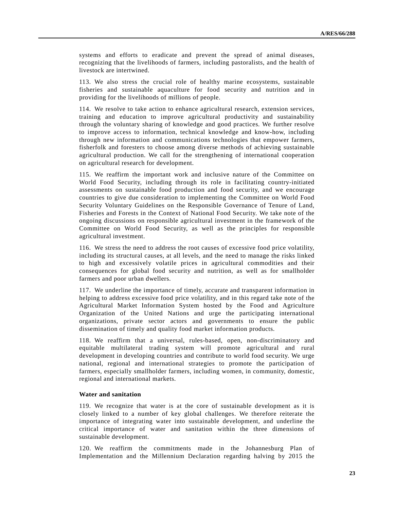systems and efforts to eradicate and prevent the spread of animal diseases, recognizing that the livelihoods of farmers, including pastoralists, and the health of livestock are intertwined.

113. We also stress the crucial role of healthy marine ecosystems, sustainable fisheries and sustainable aquaculture for food security and nutrition and in providing for the livelihoods of millions of people.

114. We resolve to take action to enhance agricultural research, extension services, training and education to improve agricultural productivity and sustainability through the voluntary sharing of knowledge and good practices. We further resolve to improve access to information, technical knowledge and know-how, including through new information and communications technologies that empower farmers, fisherfolk and foresters to choose among diverse methods of achieving sustainable agricultural production. We call for the strengthening of international cooperation on agricultural research for development.

115. We reaffirm the important work and inclusive nature of the Committee on World Food Security, including through its role in facilitating country-initiated assessments on sustainable food production and food security, and we encourage countries to give due consideration to implementing the Committee on World Food Security Voluntary Guidelines on the Responsible Governance of Tenure of Land, Fisheries and Forests in the Context of National Food Security. We take note of the ongoing discussions on responsible agricultural investment in the framework of the Committee on World Food Security, as well as the principles for responsible agricultural investment.

116. We stress the need to address the root causes of excessive food price volatility, including its structural causes, at all levels, and the need to manage the risks linked to high and excessively volatile prices in agricultural commodities and their consequences for global food security and nutrition, as well as for smallholder farmers and poor urban dwellers.

117. We underline the importance of timely, accurate and transparent information in helping to address excessive food price volatility, and in this regard take note of the Agricultural Market Information System hosted by the Food and Agriculture Organization of the United Nations and urge the participating international organizations, private sector actors and governments to ensure the public dissemination of timely and quality food market information products.

118. We reaffirm that a universal, rules-based, open, non-discriminatory and equitable multilateral trading system will promote agricultural and rural development in developing countries and contribute to world food security. We urge national, regional and international strategies to promote the participation of farmers, especially smallholder farmers, including women, in community, domestic, regional and international markets.

# **Water and sanitation**

119. We recognize that water is at the core of sustainable development as it is closely linked to a number of key global challenges. We therefore reiterate the importance of integrating water into sustainable development, and underline the critical importance of water and sanitation within the three dimensions of sustainable development.

120. We reaffirm the commitments made in the Johannesburg Plan of Implementation and the Millennium Declaration regarding halving by 2015 the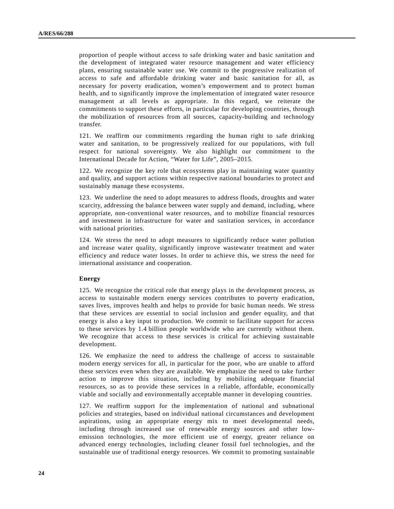proportion of people without access to safe drinking water and basic sanitation and the development of integrated water resource management and water efficiency plans, ensuring sustainable water use. We commit to the progressive realization of access to safe and affordable drinking water and basic sanitation for all, as necessary for poverty eradication, women's empowerment and to protect human health, and to significantly improve the implementation of integrated water resource management at all levels as appropriate. In this regard, we reiterate the commitments to support these efforts, in particular for developing countries, through the mobilization of resources from all sources, capacity-building and technology transfer.

121. We reaffirm our commitments regarding the human right to safe drinking water and sanitation, to be progressively realized for our populations, with full respect for national sovereignty. We also highlight our commitment to the International Decade for Action, "Water for Life", 2005–2015.

122. We recognize the key role that ecosystems play in maintaining water quantity and quality, and support actions within respective national boundaries to protect and sustainably manage these ecosystems.

123. We underline the need to adopt measures to address floods, droughts and water scarcity, addressing the balance between water supply and demand, including, where appropriate, non-conventional water resources, and to mobilize financial resources and investment in infrastructure for water and sanitation services, in accordance with national priorities.

124. We stress the need to adopt measures to significantly reduce water pollution and increase water quality, significantly improve wastewater treatment and water efficiency and reduce water losses. In order to achieve this, we stress the need for international assistance and cooperation.

# **Energy**

125. We recognize the critical role that energy plays in the development process, as access to sustainable modern energy services contributes to poverty eradication, saves lives, improves health and helps to provide for basic human needs. We stress that these services are essential to social inclusion and gender equality, and that energy is also a key input to production. We commit to facilitate support for access to these services by 1.4 billion people worldwide who are currently without them. We recognize that access to these services is critical for achieving sustainable development.

126. We emphasize the need to address the challenge of access to sustainable modern energy services for all, in particular for the poor, who are unable to afford these services even when they are available. We emphasize the need to take further action to improve this situation, including by mobilizing adequate financial resources, so as to provide these services in a reliable, affordable, economically viable and socially and environmentally acceptable manner in developing countries.

127. We reaffirm support for the implementation of national and subnational policies and strategies, based on individual national circumstances and development aspirations, using an appropriate energy mix to meet developmental needs, including through increased use of renewable energy sources and other lowemission technologies, the more efficient use of energy, greater reliance on advanced energy technologies, including cleaner fossil fuel technologies, and the sustainable use of traditional energy resources. We commit to promoting sustainable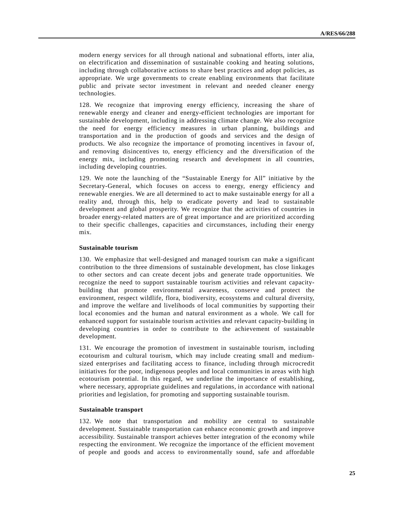modern energy services for all through national and subnational efforts, inter alia, on electrification and dissemination of sustainable cooking and heating solutions, including through collaborative actions to share best practices and adopt policies, as appropriate. We urge governments to create enabling environments that facilitate public and private sector investment in relevant and needed cleaner energy technologies.

128. We recognize that improving energy efficiency, increasing the share of renewable energy and cleaner and energy-efficient technologies are important for sustainable development, including in addressing climate change. We also recognize the need for energy efficiency measures in urban planning, buildings and transportation and in the production of goods and services and the design of products. We also recognize the importance of promoting incentives in favour of, and removing disincentives to, energy efficiency and the diversification of the energy mix, including promoting research and development in all countries, including developing countries.

129. We note the launching of the "Sustainable Energy for All" initiative by the Secretary-General, which focuses on access to energy, energy efficiency and renewable energies. We are all determined to act to make sustainable energy for all a reality and, through this, help to eradicate poverty and lead to sustainable development and global prosperity. We recognize that the activities of countries in broader energy-related matters are of great importance and are prioritized according to their specific challenges, capacities and circumstances, including their energy mix.

# **Sustainable tourism**

130. We emphasize that well-designed and managed tourism can make a significant contribution to the three dimensions of sustainable development, has close linkages to other sectors and can create decent jobs and generate trade opportunities. We recognize the need to support sustainable tourism activities and relevant capacitybuilding that promote environmental awareness, conserve and protect the environment, respect wildlife, flora, biodiversity, ecosystems and cultural diversity, and improve the welfare and livelihoods of local communities by supporting their local economies and the human and natural environment as a whole. We call for enhanced support for sustainable tourism activities and relevant capacity-building in developing countries in order to contribute to the achievement of sustainable development.

131. We encourage the promotion of investment in sustainable tourism, including ecotourism and cultural tourism, which may include creating small and mediumsized enterprises and facilitating access to finance, including through microcredit initiatives for the poor, indigenous peoples and local communities in areas with high ecotourism potential. In this regard, we underline the importance of establishing, where necessary, appropriate guidelines and regulations, in accordance with national priorities and legislation, for promoting and supporting sustainable tourism.

# **Sustainable transport**

132. We note that transportation and mobility are central to sustainable development. Sustainable transportation can enhance economic growth and improve accessibility. Sustainable transport achieves better integration of the economy while respecting the environment. We recognize the importance of the efficient movement of people and goods and access to environmentally sound, safe and affordable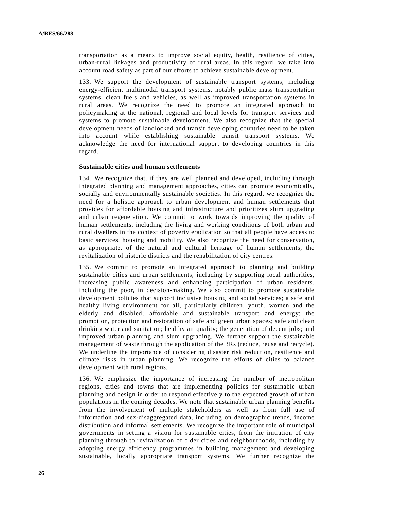transportation as a means to improve social equity, health, resilience of cities, urban-rural linkages and productivity of rural areas. In this regard, we take into account road safety as part of our efforts to achieve sustainable development.

133. We support the development of sustainable transport systems, including energy-efficient multimodal transport systems, notably public mass transportation systems, clean fuels and vehicles, as well as improved transportation systems in rural areas. We recognize the need to promote an integrated approach to policymaking at the national, regional and local levels for transport services and systems to promote sustainable development. We also recognize that the special development needs of landlocked and transit developing countries need to be taken into account while establishing sustainable transit transport systems. We acknowledge the need for international support to developing countries in this regard.

# **Sustainable cities and human settlements**

134. We recognize that, if they are well planned and developed, including through integrated planning and management approaches, cities can promote economically, socially and environmentally sustainable societies. In this regard, we recognize the need for a holistic approach to urban development and human settlements that provides for affordable housing and infrastructure and prioritizes slum upgrading and urban regeneration. We commit to work towards improving the quality of human settlements, including the living and working conditions of both urban and rural dwellers in the context of poverty eradication so that all people have access to basic services, housing and mobility. We also recognize the need for conservation, as appropriate, of the natural and cultural heritage of human settlements, the revitalization of historic districts and the rehabilitation of city centres.

135. We commit to promote an integrated approach to planning and building sustainable cities and urban settlements, including by supporting local authorities, increasing public awareness and enhancing participation of urban residents, including the poor, in decision-making. We also commit to promote sustainable development policies that support inclusive housing and social services; a safe and healthy living environment for all, particularly children, youth, women and the elderly and disabled; affordable and sustainable transport and energy; the promotion, protection and restoration of safe and green urban spaces; safe and clean drinking water and sanitation; healthy air quality; the generation of decent jobs; and improved urban planning and slum upgrading. We further support the sustainable management of waste through the application of the 3Rs (reduce, reuse and recycle). We underline the importance of considering disaster risk reduction, resilience and climate risks in urban planning. We recognize the efforts of cities to balance development with rural regions.

136. We emphasize the importance of increasing the number of metropolitan regions, cities and towns that are implementing policies for sustainable urban planning and design in order to respond effectively to the expected growth of urban populations in the coming decades. We note that sustainable urban planning benefits from the involvement of multiple stakeholders as well as from full use of information and sex-disaggregated data, including on demographic trends, income distribution and informal settlements. We recognize the important role of municipal governments in setting a vision for sustainable cities, from the initiation of city planning through to revitalization of older cities and neighbourhoods, including by adopting energy efficiency programmes in building management and developing sustainable, locally appropriate transport systems. We further recognize the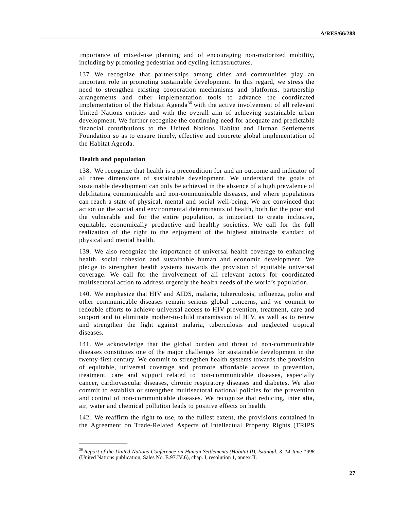importance of mixed-use planning and of encouraging non-motorized mobility, including by promoting pedestrian and cycling infrastructures.

137. We recognize that partnerships among cities and communities play an important role in promoting sustainable development. In this regard, we stress the need to strengthen existing cooperation mechanisms and platforms, partnership arrangements and other implementation tools to advance the coordinated implementation of the Habitat Agenda<sup>36</sup> with the active involvement of all relevant United Nations entities and with the overall aim of achieving sustainable urban development. We further recognize the continuing need for adequate and predictable financial contributions to the United Nations Habitat and Human Settlements Foundation so as to ensure timely, effective and concrete global implementation of the Habitat Agenda.

# **Health and population**

**\_\_\_\_\_\_\_\_\_\_\_\_\_\_\_** 

138. We recognize that health is a precondition for and an outcome and indicator of all three dimensions of sustainable development. We understand the goals of sustainable development can only be achieved in the absence of a high prevalence of debilitating communicable and non-communicable diseases, and where populations can reach a state of physical, mental and social well-being. We are convinced that action on the social and environmental determinants of health, both for the poor and the vulnerable and for the entire population, is important to create inclusive, equitable, economically productive and healthy societies. We call for the full realization of the right to the enjoyment of the highest attainable standard of physical and mental health.

139. We also recognize the importance of universal health coverage to enhancing health, social cohesion and sustainable human and economic development. We pledge to strengthen health systems towards the provision of equitable universal coverage. We call for the involvement of all relevant actors for coordinated multisectoral action to address urgently the health needs of the world's population.

140. We emphasize that HIV and AIDS, malaria, tuberculosis, influenza, polio and other communicable diseases remain serious global concerns, and we commit to redouble efforts to achieve universal access to HIV prevention, treatment, care and support and to eliminate mother-to-child transmission of HIV, as well as to renew and strengthen the fight against malaria, tuberculosis and neglected tropical diseases.

141. We acknowledge that the global burden and threat of non-communicable diseases constitutes one of the major challenges for sustainable development in the twenty-first century. We commit to strengthen health systems towards the provision of equitable, universal coverage and promote affordable access to prevention, treatment, care and support related to non-communicable diseases, especially cancer, cardiovascular diseases, chronic respiratory diseases and diabetes. We also commit to establish or strengthen multisectoral national policies for the prevention and control of non-communicable diseases. We recognize that reducing, inter alia, air, water and chemical pollution leads to positive effects on health.

142. We reaffirm the right to use, to the fullest extent, the provisions contained in the Agreement on Trade-Related Aspects of Intellectual Property Rights (TRIPS

<sup>36</sup> *Report of the United Nations Conference on Human Settlements (Habitat II), Istanbul, 3–14 June 1996* (United Nations publication, Sales No. E.97.IV.6), chap. I, resolution 1, annex II.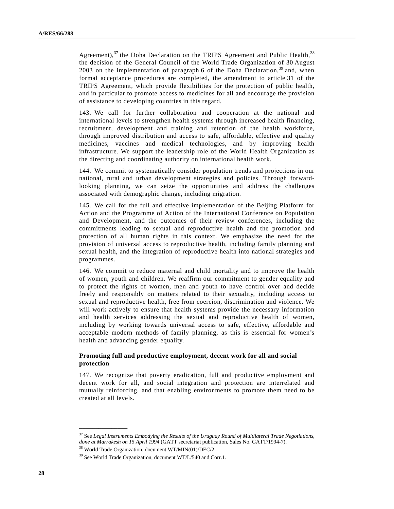Agreement),<sup>37</sup> the Doha Declaration on the TRIPS Agreement and Public Health,  $38$ the decision of the General Council of the World Trade Organization of 30 August 2003 on the implementation of paragraph 6 of the Doha Declaration,<sup>39</sup> and, when formal acceptance procedures are completed, the amendment to article 31 of the TRIPS Agreement, which provide flexibilities for the protection of public health, and in particular to promote access to medicines for all and encourage the provision of assistance to developing countries in this regard.

143. We call for further collaboration and cooperation at the national and international levels to strengthen health systems through increased health financing, recruitment, development and training and retention of the health workforce, through improved distribution and access to safe, affordable, effective and quality medicines, vaccines and medical technologies, and by improving health infrastructure. We support the leadership role of the World Health Organization as the directing and coordinating authority on international health work.

144. We commit to systematically consider population trends and projections in our national, rural and urban development strategies and policies. Through forwardlooking planning, we can seize the opportunities and address the challenges associated with demographic change, including migration.

145. We call for the full and effective implementation of the Beijing Platform for Action and the Programme of Action of the International Conference on Population and Development, and the outcomes of their review conferences, including the commitments leading to sexual and reproductive health and the promotion and protection of all human rights in this context. We emphasize the need for the provision of universal access to reproductive health, including family planning and sexual health, and the integration of reproductive health into national strategies and programmes.

146. We commit to reduce maternal and child mortality and to improve the health of women, youth and children. We reaffirm our commitment to gender equality and to protect the rights of women, men and youth to have control over and decide freely and responsibly on matters related to their sexuality, including access to sexual and reproductive health, free from coercion, discrimination and violence. We will work actively to ensure that health systems provide the necessary information and health services addressing the sexual and reproductive health of women, including by working towards universal access to safe, effective, affordable and acceptable modern methods of family planning, as this is essential for women's health and advancing gender equality.

# **Promoting full and productive employment, decent work for all and social protection**

147. We recognize that poverty eradication, full and productive employment and decent work for all, and social integration and protection are interrelated and mutually reinforcing, and that enabling environments to promote them need to be created at all levels.

<sup>37</sup> See *Legal Instruments Embodying the Results of the Uruguay Round of Multilateral Trade Negotiations, done at Marrakesh on 15 April 1994* (GATT secretariat publication, Sales No. GATT/1994-7).

<sup>38</sup> World Trade Organization, document WT/MIN(01)/DEC/2.

<sup>&</sup>lt;sup>39</sup> See World Trade Organization, document WT/L/540 and Corr.1.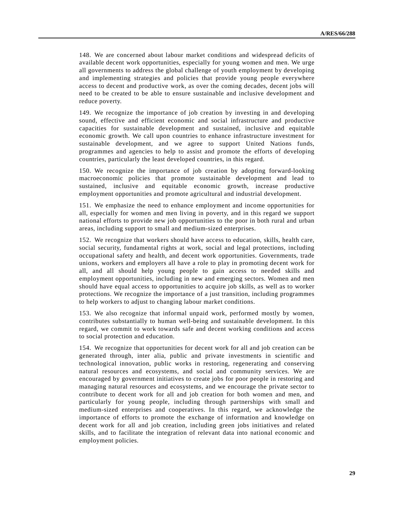148. We are concerned about labour market conditions and widespread deficits of available decent work opportunities, especially for young women and men. We urge all governments to address the global challenge of youth employment by developing and implementing strategies and policies that provide young people everywhere access to decent and productive work, as over the coming decades, decent jobs will need to be created to be able to ensure sustainable and inclusive development and reduce poverty.

149. We recognize the importance of job creation by investing in and developing sound, effective and efficient economic and social infrastructure and productive capacities for sustainable development and sustained, inclusive and equitable economic growth. We call upon countries to enhance infrastructure investment for sustainable development, and we agree to support United Nations funds, programmes and agencies to help to assist and promote the efforts of developing countries, particularly the least developed countries, in this regard.

150. We recognize the importance of job creation by adopting forward-looking macroeconomic policies that promote sustainable development and lead to sustained, inclusive and equitable economic growth, increase productive employment opportunities and promote agricultural and industrial development.

151. We emphasize the need to enhance employment and income opportunities for all, especially for women and men living in poverty, and in this regard we support national efforts to provide new job opportunities to the poor in both rural and urban areas, including support to small and medium-sized enterprises.

152. We recognize that workers should have access to education, skills, health care, social security, fundamental rights at work, social and legal protections, including occupational safety and health, and decent work opportunities. Governments, trade unions, workers and employers all have a role to play in promoting decent work for all, and all should help young people to gain access to needed skills and employment opportunities, including in new and emerging sectors. Women and men should have equal access to opportunities to acquire job skills, as well as to worker protections. We recognize the importance of a just transition, including programmes to help workers to adjust to changing labour market conditions.

153. We also recognize that informal unpaid work, performed mostly by women, contributes substantially to human well-being and sustainable development. In this regard, we commit to work towards safe and decent working conditions and access to social protection and education.

154. We recognize that opportunities for decent work for all and job creation can be generated through, inter alia, public and private investments in scientific and technological innovation, public works in restoring, regenerating and conserving natural resources and ecosystems, and social and community services. We are encouraged by government initiatives to create jobs for poor people in restoring and managing natural resources and ecosystems, and we encourage the private sector to contribute to decent work for all and job creation for both women and men, and particularly for young people, including through partnerships with small and medium-sized enterprises and cooperatives. In this regard, we acknowledge the importance of efforts to promote the exchange of information and knowledge on decent work for all and job creation, including green jobs initiatives and related skills, and to facilitate the integration of relevant data into national economic and employment policies.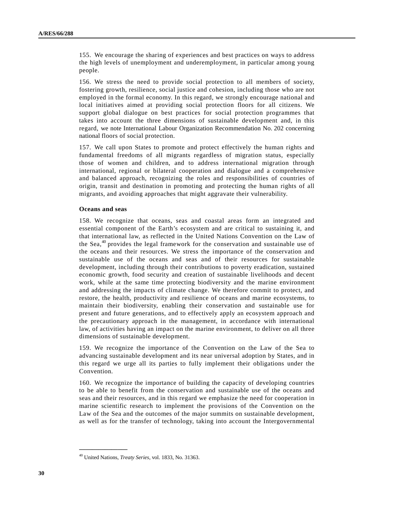155. We encourage the sharing of experiences and best practices on ways to address the high levels of unemployment and underemployment, in particular among young people.

156. We stress the need to provide social protection to all members of society, fostering growth, resilience, social justice and cohesion, including those who are not employed in the formal economy. In this regard, we strongly encourage national and local initiatives aimed at providing social protection floors for all citizens. We support global dialogue on best practices for social protection programmes that takes into account the three dimensions of sustainable development and, in this regard, we note International Labour Organization Recommendation No. 202 concerning national floors of social protection.

157. We call upon States to promote and protect effectively the human rights and fundamental freedoms of all migrants regardless of migration status, especially those of women and children, and to address international migration through international, regional or bilateral cooperation and dialogue and a comprehensive and balanced approach, recognizing the roles and responsibilities of countries of origin, transit and destination in promoting and protecting the human rights of all migrants, and avoiding approaches that might aggravate their vulnerability.

# **Oceans and seas**

158. We recognize that oceans, seas and coastal areas form an integrated and essential component of the Earth's ecosystem and are critical to sustaining it, and that international law, as reflected in the United Nations Convention on the Law of the Sea, $40$  provides the legal framework for the conservation and sustainable use of the oceans and their resources. We stress the importance of the conservation and sustainable use of the oceans and seas and of their resources for sustainable development, including through their contributions to poverty eradication, sustained economic growth, food security and creation of sustainable livelihoods and decent work, while at the same time protecting biodiversity and the marine environment and addressing the impacts of climate change. We therefore commit to protect, and restore, the health, productivity and resilience of oceans and marine ecosystems, to maintain their biodiversity, enabling their conservation and sustainable use for present and future generations, and to effectively apply an ecosystem approach and the precautionary approach in the management, in accordance with international law, of activities having an impact on the marine environment, to deliver on all three dimensions of sustainable development.

159. We recognize the importance of the Convention on the Law of the Sea to advancing sustainable development and its near universal adoption by States, and in this regard we urge all its parties to fully implement their obligations under the Convention.

160. We recognize the importance of building the capacity of developing countries to be able to benefit from the conservation and sustainable use of the oceans and seas and their resources, and in this regard we emphasize the need for cooperation in marine scientific research to implement the provisions of the Convention on the Law of the Sea and the outcomes of the major summits on sustainable development, as well as for the transfer of technology, taking into account the Intergovernmental

<sup>40</sup> United Nations, *Treaty Series*, vol. 1833, No. 31363.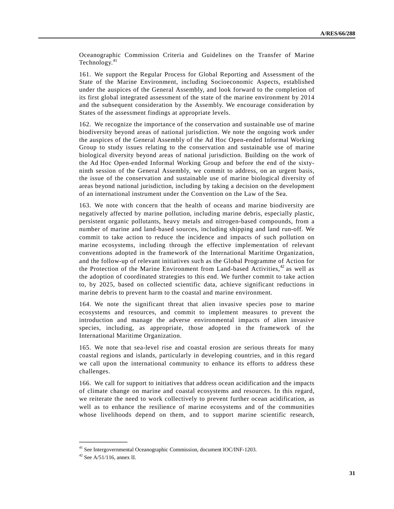Oceanographic Commission Criteria and Guidelines on the Transfer of Marine Technology.<sup>41</sup>

161. We support the Regular Process for Global Reporting and Assessment of the State of the Marine Environment, including Socioeconomic Aspects, established under the auspices of the General Assembly, and look forward to the completion of its first global integrated assessment of the state of the marine environment by 2014 and the subsequent consideration by the Assembly. We encourage consideration by States of the assessment findings at appropriate levels.

162. We recognize the importance of the conservation and sustainable use of marine biodiversity beyond areas of national jurisdiction. We note the ongoing work under the auspices of the General Assembly of the Ad Hoc Open-ended Informal Working Group to study issues relating to the conservation and sustainable use of marine biological diversity beyond areas of national jurisdiction. Building on the work of the Ad Hoc Open-ended Informal Working Group and before the end of the sixtyninth session of the General Assembly, we commit to address, on an urgent basis, the issue of the conservation and sustainable use of marine biological diversity of areas beyond national jurisdiction, including by taking a decision on the development of an international instrument under the Convention on the Law of the Sea.

163. We note with concern that the health of oceans and marine biodiversity are negatively affected by marine pollution, including marine debris, especially plastic, persistent organic pollutants, heavy metals and nitrogen-based compounds, from a number of marine and land-based sources, including shipping and land run-off. We commit to take action to reduce the incidence and impacts of such pollution on marine ecosystems, including through the effective implementation of relevant conventions adopted in the framework of the International Maritime Organization, and the follow-up of relevant initiatives such as the Global Programme of Action for the Protection of the Marine Environment from Land-based Activities,<sup>42</sup> as well as the adoption of coordinated strategies to this end. We further commit to take action to, by 2025, based on collected scientific data, achieve significant reductions in marine debris to prevent harm to the coastal and marine environment.

164. We note the significant threat that alien invasive species pose to marine ecosystems and resources, and commit to implement measures to prevent the introduction and manage the adverse environmental impacts of alien invasive species, including, as appropriate, those adopted in the framework of the International Maritime Organization.

165. We note that sea-level rise and coastal erosion are serious threats for many coastal regions and islands, particularly in developing countries, and in this regard we call upon the international community to enhance its efforts to address these challenges.

166. We call for support to initiatives that address ocean acidification and the impacts of climate change on marine and coastal ecosystems and resources. In this regard, we reiterate the need to work collectively to prevent further ocean acidification, as well as to enhance the resilience of marine ecosystems and of the communities whose livelihoods depend on them, and to support marine scientific research,

<sup>41</sup> See Intergovernmental Oceanographic Commission, document IOC/INF-1203.

 $42$  See A/51/116, annex II.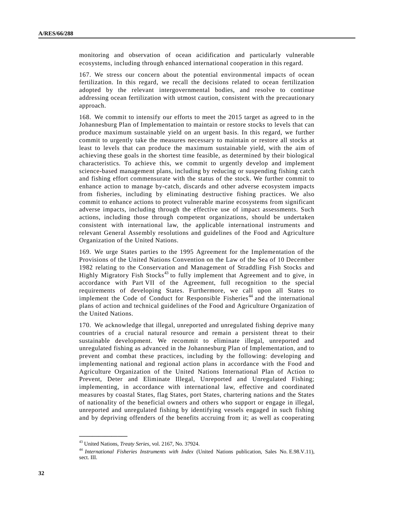monitoring and observation of ocean acidification and particularly vulnerable ecosystems, including through enhanced international cooperation in this regard.

167. We stress our concern about the potential environmental impacts of ocean fertilization. In this regard, we recall the decisions related to ocean fertilization adopted by the relevant intergovernmental bodies, and resolve to continue addressing ocean fertilization with utmost caution, consistent with the precautionary approach.

168. We commit to intensify our efforts to meet the 2015 target as agreed to in the Johannesburg Plan of Implementation to maintain or restore stocks to levels that can produce maximum sustainable yield on an urgent basis. In this regard, we further commit to urgently take the measures necessary to maintain or restore all stocks at least to levels that can produce the maximum sustainable yield, with the aim of achieving these goals in the shortest time feasible, as determined by their biological characteristics. To achieve this, we commit to urgently develop and implement science-based management plans, including by reducing or suspending fishing catch and fishing effort commensurate with the status of the stock. We further commit to enhance action to manage by-catch, discards and other adverse ecosystem impacts from fisheries, including by eliminating destructive fishing practices. We also commit to enhance actions to protect vulnerable marine ecosystems from significant adverse impacts, including through the effective use of impact assessments. Such actions, including those through competent organizations, should be undertaken consistent with international law, the applicable international instruments and relevant General Assembly resolutions and guidelines of the Food and Agriculture Organization of the United Nations.

169. We urge States parties to the 1995 Agreement for the Implementation of the Provisions of the United Nations Convention on the Law of the Sea of 10 December 1982 relating to the Conservation and Management of Straddling Fish Stocks and Highly Migratory Fish Stocks<sup>43</sup> to fully implement that Agreement and to give, in accordance with Part VII of the Agreement, full recognition to the special requirements of developing States. Furthermore, we call upon all States to implement the Code of Conduct for Responsible Fisheries<sup> $44$ </sup> and the international plans of action and technical guidelines of the Food and Agriculture Organization of the United Nations.

170. We acknowledge that illegal, unreported and unregulated fishing deprive many countries of a crucial natural resource and remain a persistent threat to their sustainable development. We recommit to eliminate illegal, unreported and unregulated fishing as advanced in the Johannesburg Plan of Implementation, and to prevent and combat these practices, including by the following: developing and implementing national and regional action plans in accordance with the Food and Agriculture Organization of the United Nations International Plan of Action to Prevent, Deter and Eliminate Illegal, Unreported and Unregulated Fishing; implementing, in accordance with international law, effective and coordinated measures by coastal States, flag States, port States, chartering nations and the States of nationality of the beneficial owners and others who support or engage in illegal, unreported and unregulated fishing by identifying vessels engaged in such fishing and by depriving offenders of the benefits accruing from it; as well as cooperating

<sup>43</sup> United Nations, *Treaty Series*, vol. 2167, No. 37924.

<sup>44</sup> *International Fisheries Instruments with Index* (United Nations publication, Sales No. E.98.V.11), sect. III.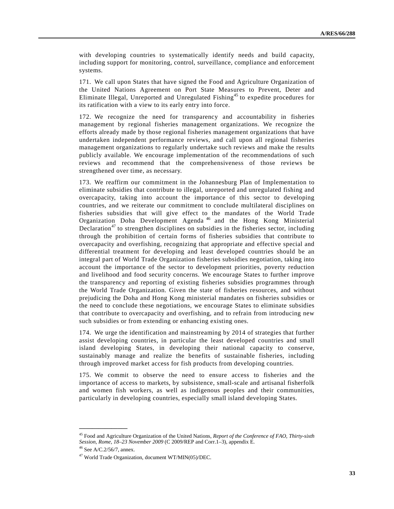with developing countries to systematically identify needs and build capacity, including support for monitoring, control, surveillance, compliance and enforcement systems.

171. We call upon States that have signed the Food and Agriculture Organization of the United Nations Agreement on Port State Measures to Prevent, Deter and Eliminate Illegal, Unreported and Unregulated Fishing<sup>45</sup> to expedite procedures for its ratification with a view to its early entry into force.

172. We recognize the need for transparency and accountability in fisheries management by regional fisheries management organizations. We recognize the efforts already made by those regional fisheries management organizations that have undertaken independent performance reviews, and call upon all regional fisheries management organizations to regularly undertake such reviews and make the results publicly available. We encourage implementation of the recommendations of such reviews and recommend that the comprehensiveness of those reviews be strengthened over time, as necessary.

173. We reaffirm our commitment in the Johannesburg Plan of Implementation to eliminate subsidies that contribute to illegal, unreported and unregulated fishing and overcapacity, taking into account the importance of this sector to developing countries, and we reiterate our commitment to conclude multilateral disciplines on fisheries subsidies that will give effect to the mandates of the World Trade Organization Doha Development Agenda <sup>46</sup> and the Hong Kong Ministerial Declaration<sup>47</sup> to strengthen disciplines on subsidies in the fisheries sector, including through the prohibition of certain forms of fisheries subsidies that contribute to overcapacity and overfishing, recognizing that appropriate and effective special and differential treatment for developing and least developed countries should be an integral part of World Trade Organization fisheries subsidies negotiation, taking into account the importance of the sector to development priorities, poverty reduction and livelihood and food security concerns. We encourage States to further improve the transparency and reporting of existing fisheries subsidies programmes through the World Trade Organization. Given the state of fisheries resources, and without prejudicing the Doha and Hong Kong ministerial mandates on fisheries subsidies or the need to conclude these negotiations, we encourage States to eliminate subsidies that contribute to overcapacity and overfishing, and to refrain from introducing new such subsidies or from extending or enhancing existing ones.

174. We urge the identification and mainstreaming by 2014 of strategies that further assist developing countries, in particular the least developed countries and small island developing States, in developing their national capacity to conserve, sustainably manage and realize the benefits of sustainable fisheries, including through improved market access for fish products from developing countries.

175. We commit to observe the need to ensure access to fisheries and the importance of access to markets, by subsistence, small-scale and artisanal fisherfolk and women fish workers, as well as indigenous peoples and their communities, particularly in developing countries, especially small island developing States.

<sup>45</sup> Food and Agriculture Organization of the United Nations, *Report of the Conference of FAO, Thirty-sixth Session, Rome, 18–23 November 2009* (C 2009/REP and Corr.1–3), appendix E.

<sup>46</sup> See A/C.2/56/7, annex.

<sup>47</sup> World Trade Organization, document WT/MIN(05)/DEC.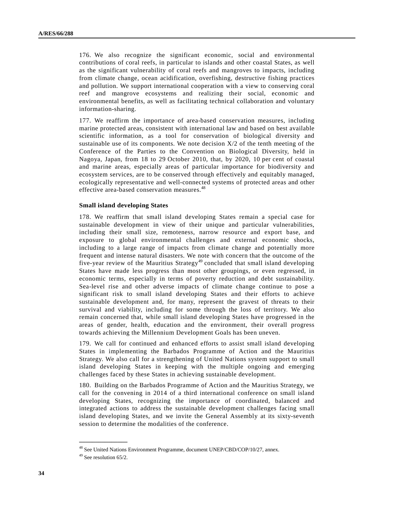176. We also recognize the significant economic, social and environmental contributions of coral reefs, in particular to islands and other coastal States, as well as the significant vulnerability of coral reefs and mangroves to impacts, including from climate change, ocean acidification, overfishing, destructive fishing practices and pollution. We support international cooperation with a view to conserving coral reef and mangrove ecosystems and realizing their social, economic and environmental benefits, as well as facilitating technical collaboration and voluntary information-sharing.

177. We reaffirm the importance of area-based conservation measures, including marine protected areas, consistent with international law and based on best available scientific information, as a tool for conservation of biological diversity and sustainable use of its components. We note decision  $X/2$  of the tenth meeting of the Conference of the Parties to the Convention on Biological Diversity, held in Nagoya, Japan, from 18 to 29 October 2010, that, by 2020, 10 per cent of coastal and marine areas, especially areas of particular importance for biodiversity and ecosystem services, are to be conserved through effectively and equitably managed, ecologically representative and well-connected systems of protected areas and other effective area-based conservation measures.<sup>48</sup>

# **Small island developing States**

178. We reaffirm that small island developing States remain a special case for sustainable development in view of their unique and particular vulnerabilities, including their small size, remoteness, narrow resource and export base, and exposure to global environmental challenges and external economic shocks, including to a large range of impacts from climate change and potentially more frequent and intense natural disasters. We note with concern that the outcome of the five-year review of the Mauritius Strategy<sup>49</sup> concluded that small island developing States have made less progress than most other groupings, or even regressed, in economic terms, especially in terms of poverty reduction and debt sustainability. Sea-level rise and other adverse impacts of climate change continue to pose a significant risk to small island developing States and their efforts to achieve sustainable development and, for many, represent the gravest of threats to their survival and viability, including for some through the loss of territory. We also remain concerned that, while small island developing States have progressed in the areas of gender, health, education and the environment, their overall progress towards achieving the Millennium Development Goals has been uneven.

179. We call for continued and enhanced efforts to assist small island developing States in implementing the Barbados Programme of Action and the Mauritius Strategy. We also call for a strengthening of United Nations system support to small island developing States in keeping with the multiple ongoing and emerging challenges faced by these States in achieving sustainable development.

180. Building on the Barbados Programme of Action and the Mauritius Strategy, we call for the convening in 2014 of a third international conference on small island developing States, recognizing the importance of coordinated, balanced and integrated actions to address the sustainable development challenges facing small island developing States, and we invite the General Assembly at its sixty-seventh session to determine the modalities of the conference.

<sup>48</sup> See United Nations Environment Programme, document UNEP/CBD/COP/10/27, annex.

<sup>49</sup> See resolution 65/2.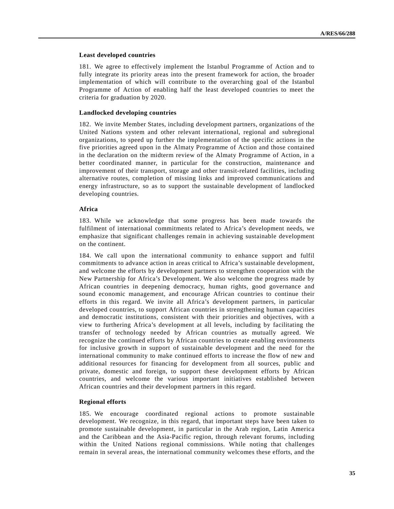# **Least developed countries**

181. We agree to effectively implement the Istanbul Programme of Action and to fully integrate its priority areas into the present framework for action, the broader implementation of which will contribute to the overarching goal of the Istanbul Programme of Action of enabling half the least developed countries to meet the criteria for graduation by 2020.

# **Landlocked developing countries**

182. We invite Member States, including development partners, organizations of the United Nations system and other relevant international, regional and subregional organizations, to speed up further the implementation of the specific actions in the five priorities agreed upon in the Almaty Programme of Action and those contained in the declaration on the midterm review of the Almaty Programme of Action, in a better coordinated manner, in particular for the construction, maintenance and improvement of their transport, storage and other transit-related facilities, including alternative routes, completion of missing links and improved communications and energy infrastructure, so as to support the sustainable development of landlocked developing countries.

# **Africa**

183. While we acknowledge that some progress has been made towards the fulfilment of international commitments related to Africa's development needs, we emphasize that significant challenges remain in achieving sustainable development on the continent.

184. We call upon the international community to enhance support and fulfil commitments to advance action in areas critical to Africa's sustainable development, and welcome the efforts by development partners to strengthen cooperation with the New Partnership for Africa's Development. We also welcome the progress made by African countries in deepening democracy, human rights, good governance and sound economic management, and encourage African countries to continue their efforts in this regard. We invite all Africa's development partners, in particular developed countries, to support African countries in strengthening human capacities and democratic institutions, consistent with their priorities and objectives, with a view to furthering Africa's development at all levels, including by facilitating the transfer of technology needed by African countries as mutually agreed. We recognize the continued efforts by African countries to create enabling environments for inclusive growth in support of sustainable development and the need for the international community to make continued efforts to increase the flow of new and additional resources for financing for development from all sources, public and private, domestic and foreign, to support these development efforts by African countries, and welcome the various important initiatives established between African countries and their development partners in this regard.

## **Regional efforts**

185. We encourage coordinated regional actions to promote sustainable development. We recognize, in this regard, that important steps have been taken to promote sustainable development, in particular in the Arab region, Latin America and the Caribbean and the Asia-Pacific region, through relevant forums, including within the United Nations regional commissions. While noting that challenges remain in several areas, the international community welcomes these efforts, and the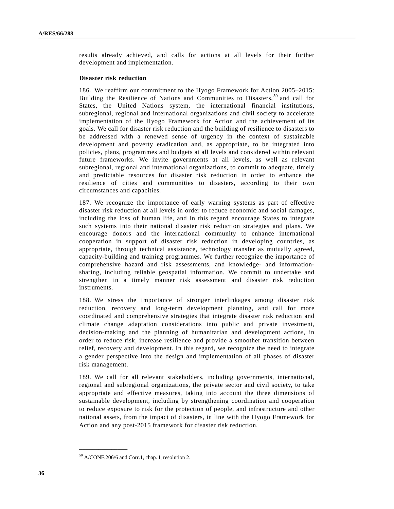results already achieved, and calls for actions at all levels for their further development and implementation.

# **Disaster risk reduction**

186. We reaffirm our commitment to the Hyogo Framework for Action 2005–2015: Building the Resilience of Nations and Communities to Disasters, <sup>50</sup> and call for States, the United Nations system, the international financial institutions, subregional, regional and international organizations and civil society to accelerate implementation of the Hyogo Framework for Action and the achievement of its goals. We call for disaster risk reduction and the building of resilience to disasters to be addressed with a renewed sense of urgency in the context of sustainable development and poverty eradication and, as appropriate, to be integrated into policies, plans, programmes and budgets at all levels and considered within relevant future frameworks. We invite governments at all levels, as well as relevant subregional, regional and international organizations, to commit to adequate, timely and predictable resources for disaster risk reduction in order to enhance the resilience of cities and communities to disasters, according to their own circumstances and capacities.

187. We recognize the importance of early warning systems as part of effective disaster risk reduction at all levels in order to reduce economic and social damages, including the loss of human life, and in this regard encourage States to integrate such systems into their national disaster risk reduction strategies and plans. We encourage donors and the international community to enhance international cooperation in support of disaster risk reduction in developing countries, as appropriate, through technical assistance, technology transfer as mutually agreed, capacity-building and training programmes. We further recognize the importance of comprehensive hazard and risk assessments, and knowledge- and informationsharing, including reliable geospatial information. We commit to undertake and strengthen in a timely manner risk assessment and disaster risk reduction instruments.

188. We stress the importance of stronger interlinkages among disaster risk reduction, recovery and long-term development planning, and call for more coordinated and comprehensive strategies that integrate disaster risk reduction and climate change adaptation considerations into public and private investment, decision-making and the planning of humanitarian and development actions, in order to reduce risk, increase resilience and provide a smoother transition between relief, recovery and development. In this regard, we recognize the need to integrate a gender perspective into the design and implementation of all phases of disaster risk management.

189. We call for all relevant stakeholders, including governments, international, regional and subregional organizations, the private sector and civil society, to take appropriate and effective measures, taking into account the three dimensions of sustainable development, including by strengthening coordination and cooperation to reduce exposure to risk for the protection of people, and infrastructure and other national assets, from the impact of disasters, in line with the Hyogo Framework for Action and any post-2015 framework for disaster risk reduction.

<sup>50</sup> A/CONF.206/6 and Corr.1, chap. I, resolution 2.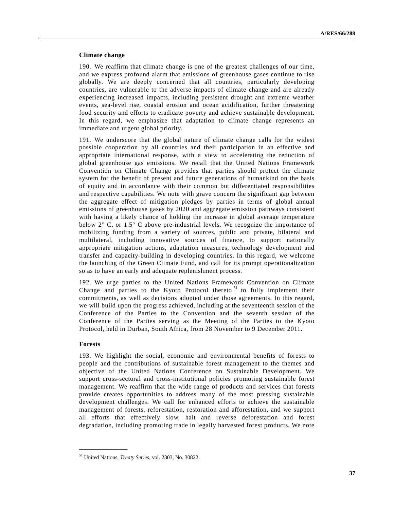# **Climate change**

190. We reaffirm that climate change is one of the greatest challenges of our time, and we express profound alarm that emissions of greenhouse gases continue to rise globally. We are deeply concerned that all countries, particularly developing countries, are vulnerable to the adverse impacts of climate change and are already experiencing increased impacts, including persistent drought and extreme weather events, sea-level rise, coastal erosion and ocean acidification, further threatening food security and efforts to eradicate poverty and achieve sustainable development. In this regard, we emphasize that adaptation to climate change represents an immediate and urgent global priority.

191. We underscore that the global nature of climate change calls for the widest possible cooperation by all countries and their participation in an effective and appropriate international response, with a view to accelerating the reduction of global greenhouse gas emissions. We recall that the United Nations Framework Convention on Climate Change provides that parties should protect the climate system for the benefit of present and future generations of humankind on the basis of equity and in accordance with their common but differentiated responsibilities and respective capabilities. We note with grave concern the significant gap between the aggregate effect of mitigation pledges by parties in terms of global annual emissions of greenhouse gases by 2020 and aggregate emission pathways consistent with having a likely chance of holding the increase in global average temperature below 2° C, or 1.5° C above pre-industrial levels. We recognize the importance of mobilizing funding from a variety of sources, public and private, bilateral and multilateral, including innovative sources of finance, to support nationally appropriate mitigation actions, adaptation measures, technology development and transfer and capacity-building in developing countries. In this regard, we welcome the launching of the Green Climate Fund, and call for its prompt operationalization so as to have an early and adequate replenishment process.

192. We urge parties to the United Nations Framework Convention on Climate Change and parties to the Kyoto Protocol thereto  $51$  to fully implement their commitments, as well as decisions adopted under those agreements. In this regard, we will build upon the progress achieved, including at the seventeenth session of the Conference of the Parties to the Convention and the seventh session of the Conference of the Parties serving as the Meeting of the Parties to the Kyoto Protocol, held in Durban, South Africa, from 28 November to 9 December 2011.

# **Forests**

**\_\_\_\_\_\_\_\_\_\_\_\_\_\_\_** 

193. We highlight the social, economic and environmental benefits of forests to people and the contributions of sustainable forest management to the themes and objective of the United Nations Conference on Sustainable Development. We support cross-sectoral and cross-institutional policies promoting sustainable forest management. We reaffirm that the wide range of products and services that forests provide creates opportunities to address many of the most pressing sustainable development challenges. We call for enhanced efforts to achieve the sustainable management of forests, reforestation, restoration and afforestation, and we support all efforts that effectively slow, halt and reverse deforestation and forest degradation, including promoting trade in legally harvested forest products. We note

<sup>51</sup> United Nations, *Treaty Series*, vol. 2303, No. 30822.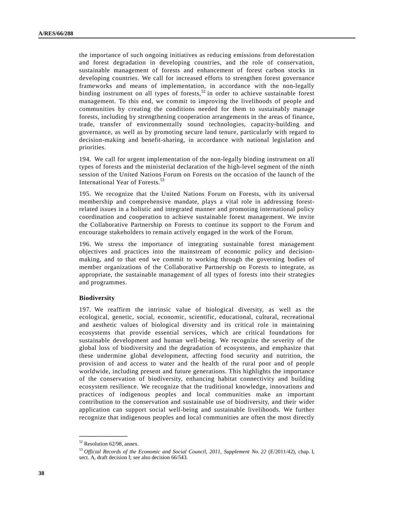the importance of such ongoing initiatives as reducing emissions from deforestation and forest degradation in developing countries, and the role of conservation, sustainable management of forests and enhancement of forest carbon stocks in developing countries. We call for increased efforts to strengthen forest governance frameworks and means of implementation, in accordance with the non-legally binding instrument on all types of forests,<sup>52</sup> in order to achieve sustainable forest management. To this end, we commit to improving the livelihoods of people and communities by creating the conditions needed for them to sustainably manage forests, including by strengthening cooperation arrangements in the areas of finance, trade, transfer of environmentally sound technologies, capacity-building and governance, as well as by promoting secure land tenure, particularly with regard to decision-making and benefit-sharing, in accordance with national legislation and priorities.

194. We call for urgent implementation of the non-legally binding instrument on all types of forests and the ministerial declaration of the high-level segment of the ninth session of the United Nations Forum on Forests on the occasion of the launch of the International Year of Forests.<sup>53</sup>

195. We recognize that the United Nations Forum on Forests, with its universal membership and comprehensive mandate, plays a vital role in addressing forestrelated issues in a holistic and integrated manner and promoting international policy coordination and cooperation to achieve sustainable forest management. We invite the Collaborative Partnership on Forests to continue its support to the Forum and encourage stakeholders to remain actively engaged in the work of the Forum.

196. We stress the importance of integrating sustainable forest management objectives and practices into the mainstream of economic policy and decisionmaking, and to that end we commit to working through the governing bodies of member organizations of the Collaborative Partnership on Forests to integrate, as appropriate, the sustainable management of all types of forests into their strategies and programmes.

### **Biodiversity**

197. We reaffirm the intrinsic value of biological diversity, as well as the ecological, genetic, social, economic, scientific, educational, cultural, recreational and aesthetic values of biological diversity and its critical role in maintaining ecosystems that provide essential services, which are critical foundations for sustainable development and human well-being. We recognize the severity of the global loss of biodiversity and the degradation of ecosystems, and emphasize that these undermine global development, affecting food security and nutrition, the provision of and access to water and the health of the rural poor and of people worldwide, including present and future generations. This highlights the importance of the conservation of biodiversity, enhancing habitat connectivity and building ecosystem resilience. We recognize that the traditional knowledge, innovations and practices of indigenous peoples and local communities make an important contribution to the conservation and sustainable use of biodiversity, and their wider application can support social well-being and sustainable livelihoods. We further recognize that indigenous peoples and local communities are often the most directly

<sup>52</sup> Resolution 62/98, annex.

<sup>53</sup> *Official Records of the Economic and Social Council, 2011, Supplement No. 22* (E/2011/42), chap. I, sect. A, draft decision I; see also decision 66/543.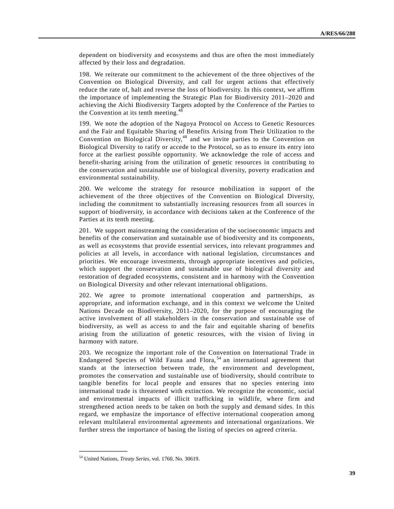dependent on biodiversity and ecosystems and thus are often the most immediately affected by their loss and degradation.

198. We reiterate our commitment to the achievement of the three objectives of the Convention on Biological Diversity, and call for urgent actions that effectively reduce the rate of, halt and reverse the loss of biodiversity. In this context, we affirm the importance of implementing the Strategic Plan for Biodiversity 2011–2020 and achieving the Aichi Biodiversity Targets adopted by the Conference of the Parties to the Convention at its tenth meeting. $48$ 

199. We note the adoption of the Nagoya Protocol on Access to Genetic Resources and the Fair and Equitable Sharing of Benefits Arising from Their Utilization to the Convention on Biological Diversity,<sup>48</sup> and we invite parties to the Convention on Biological Diversity to ratify or accede to the Protocol, so as to ensure its entry into force at the earliest possible opportunity. We acknowledge the role of access and benefit-sharing arising from the utilization of genetic resources in contributing to the conservation and sustainable use of biological diversity, poverty eradication and environmental sustainability.

200. We welcome the strategy for resource mobilization in support of the achievement of the three objectives of the Convention on Biological Diversity, including the commitment to substantially increasing resources from all sources in support of biodiversity, in accordance with decisions taken at the Conference of the Parties at its tenth meeting.

201. We support mainstreaming the consideration of the socioeconomic impacts and benefits of the conservation and sustainable use of biodiversity and its components, as well as ecosystems that provide essential services, into relevant programmes and policies at all levels, in accordance with national legislation, circumstances and priorities. We encourage investments, through appropriate incentives and policies, which support the conservation and sustainable use of biological diversity and restoration of degraded ecosystems, consistent and in harmony with the Convention on Biological Diversity and other relevant international obligations.

202. We agree to promote international cooperation and partnerships, as appropriate, and information exchange, and in this context we welcome the United Nations Decade on Biodiversity, 2011–2020, for the purpose of encouraging the active involvement of all stakeholders in the conservation and sustainable use of biodiversity, as well as access to and the fair and equitable sharing of benefits arising from the utilization of genetic resources, with the vision of living in harmony with nature.

203. We recognize the important role of the Convention on International Trade in Endangered Species of Wild Fauna and Flora,  $54$  an international agreement that stands at the intersection between trade, the environment and development, promotes the conservation and sustainable use of biodiversity, should contribute to tangible benefits for local people and ensures that no species entering into international trade is threatened with extinction. We recognize the economic, social and environmental impacts of illicit trafficking in wildlife, where firm and strengthened action needs to be taken on both the supply and demand sides. In this regard, we emphasize the importance of effective international cooperation among relevant multilateral environmental agreements and international organizations. We further stress the importance of basing the listing of species on agreed criteria.

<sup>54</sup> United Nations, *Treaty Series*, vol. 1760, No. 30619.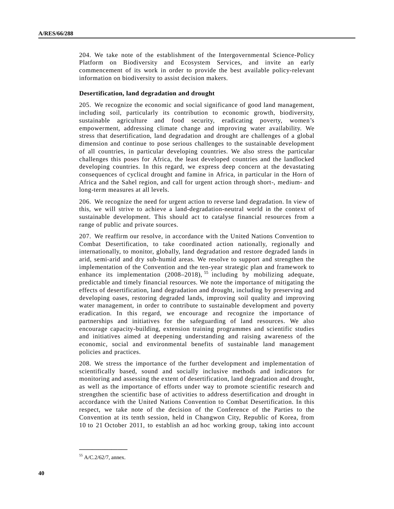204. We take note of the establishment of the Intergovernmental Science-Policy Platform on Biodiversity and Ecosystem Services, and invite an early commencement of its work in order to provide the best available policy-relevant information on biodiversity to assist decision makers.

#### **Desertification, land degradation and drought**

205. We recognize the economic and social significance of good land management, including soil, particularly its contribution to economic growth, biodiversity, sustainable agriculture and food security, eradicating poverty, women's empowerment, addressing climate change and improving water availability. We stress that desertification, land degradation and drought are challenges of a global dimension and continue to pose serious challenges to the sustainable development of all countries, in particular developing countries. We also stress the particular challenges this poses for Africa, the least developed countries and the landlocked developing countries. In this regard, we express deep concern at the devastating consequences of cyclical drought and famine in Africa, in particular in the Horn of Africa and the Sahel region, and call for urgent action through short-, medium- and long-term measures at all levels.

206. We recognize the need for urgent action to reverse land degradation. In view of this, we will strive to achieve a land-degradation-neutral world in the context of sustainable development. This should act to catalyse financial resources from a range of public and private sources.

207. We reaffirm our resolve, in accordance with the United Nations Convention to Combat Desertification, to take coordinated action nationally, regionally and internationally, to monitor, globally, land degradation and restore degraded lands in arid, semi-arid and dry sub-humid areas. We resolve to support and strengthen the implementation of the Convention and the ten-year strategic plan and framework to enhance its implementation  $(2008-2018)$ , <sup>55</sup> including by mobilizing adequate, predictable and timely financial resources. We note the importance of mitigating the effects of desertification, land degradation and drought, including by preserving and developing oases, restoring degraded lands, improving soil quality and improving water management, in order to contribute to sustainable development and poverty eradication. In this regard, we encourage and recognize the importance of partnerships and initiatives for the safeguarding of land resources. We also encourage capacity-building, extension training programmes and scientific studies and initiatives aimed at deepening understanding and raising awareness of the economic, social and environmental benefits of sustainable land management policies and practices.

208. We stress the importance of the further development and implementation of scientifically based, sound and socially inclusive methods and indicators for monitoring and assessing the extent of desertification, land degradation and drought, as well as the importance of efforts under way to promote scientific research and strengthen the scientific base of activities to address desertification and drought in accordance with the United Nations Convention to Combat Desertification. In this respect, we take note of the decision of the Conference of the Parties to the Convention at its tenth session, held in Changwon City, Republic of Korea, from 10 to 21 October 2011, to establish an ad hoc working group, taking into account

**\_\_\_\_\_\_\_\_\_\_\_\_\_\_\_**  <sup>55</sup> A/C.2/62/7, annex.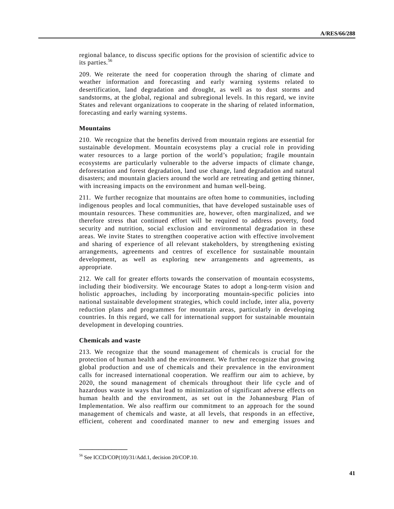regional balance, to discuss specific options for the provision of scientific advice to its parties.<sup>56</sup>

209. We reiterate the need for cooperation through the sharing of climate and weather information and forecasting and early warning systems related to desertification, land degradation and drought, as well as to dust storms and sandstorms, at the global, regional and subregional levels. In this regard, we invite States and relevant organizations to cooperate in the sharing of related information, forecasting and early warning systems.

# **Mountains**

210. We recognize that the benefits derived from mountain regions are essential for sustainable development. Mountain ecosystems play a crucial role in providing water resources to a large portion of the world's population; fragile mountain ecosystems are particularly vulnerable to the adverse impacts of climate change, deforestation and forest degradation, land use change, land degradation and natural disasters; and mountain glaciers around the world are retreating and getting thinner, with increasing impacts on the environment and human well-being.

211. We further recognize that mountains are often home to communities, including indigenous peoples and local communities, that have developed sustainable uses of mountain resources. These communities are, however, often marginalized, and we therefore stress that continued effort will be required to address poverty, food security and nutrition, social exclusion and environmental degradation in these areas. We invite States to strengthen cooperative action with effective involvement and sharing of experience of all relevant stakeholders, by strengthening existing arrangements, agreements and centres of excellence for sustainable mountain development, as well as exploring new arrangements and agreements, as appropriate.

212. We call for greater efforts towards the conservation of mountain ecosystems, including their biodiversity. We encourage States to adopt a long-term vision and holistic approaches, including by incorporating mountain-specific policies into national sustainable development strategies, which could include, inter alia, poverty reduction plans and programmes for mountain areas, particularly in developing countries. In this regard, we call for international support for sustainable mountain development in developing countries.

# **Chemicals and waste**

**\_\_\_\_\_\_\_\_\_\_\_\_\_\_\_** 

213. We recognize that the sound management of chemicals is crucial for the protection of human health and the environment. We further recognize that growing global production and use of chemicals and their prevalence in the environment calls for increased international cooperation. We reaffirm our aim to achieve, by 2020, the sound management of chemicals throughout their life cycle and of hazardous waste in ways that lead to minimization of significant adverse effects on human health and the environment, as set out in the Johannesburg Plan of Implementation. We also reaffirm our commitment to an approach for the sound management of chemicals and waste, at all levels, that responds in an effective, efficient, coherent and coordinated manner to new and emerging issues and

<sup>56</sup> See ICCD/COP(10)/31/Add.1, decision 20/COP.10.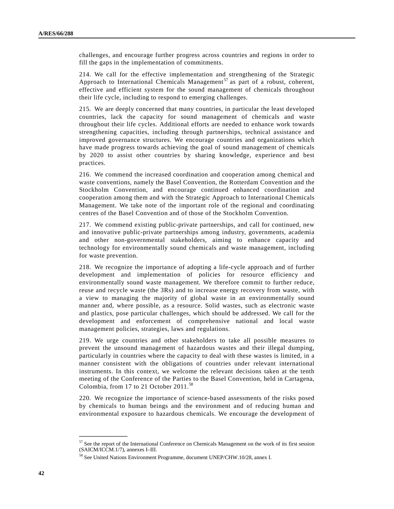challenges, and encourage further progress across countries and regions in order to fill the gaps in the implementation of commitments.

214. We call for the effective implementation and strengthening of the Strategic Approach to International Chemicals Management<sup>57</sup> as part of a robust, coherent, effective and efficient system for the sound management of chemicals throughout their life cycle, including to respond to emerging challenges.

215. We are deeply concerned that many countries, in particular the least developed countries, lack the capacity for sound management of chemicals and waste throughout their life cycles. Additional efforts are needed to enhance work towards strengthening capacities, including through partnerships, technical assistance and improved governance structures. We encourage countries and organizations which have made progress towards achieving the goal of sound management of chemicals by 2020 to assist other countries by sharing knowledge, experience and best practices.

216. We commend the increased coordination and cooperation among chemical and waste conventions, namely the Basel Convention, the Rotterdam Convention and the Stockholm Convention, and encourage continued enhanced coordination and cooperation among them and with the Strategic Approach to International Chemicals Management. We take note of the important role of the regional and coordinating centres of the Basel Convention and of those of the Stockholm Convention.

217. We commend existing public-private partnerships, and call for continued, new and innovative public-private partnerships among industry, governments, academia and other non-governmental stakeholders, aiming to enhance capacity and technology for environmentally sound chemicals and waste management, including for waste prevention.

218. We recognize the importance of adopting a life-cycle approach and of further development and implementation of policies for resource efficiency and environmentally sound waste management. We therefore commit to further reduce, reuse and recycle waste (the 3Rs) and to increase energy recovery from waste, with a view to managing the majority of global waste in an environmentally sound manner and, where possible, as a resource. Solid wastes, such as electronic waste and plastics, pose particular challenges, which should be addressed. We call for the development and enforcement of comprehensive national and local waste management policies, strategies, laws and regulations.

219. We urge countries and other stakeholders to take all possible measures to prevent the unsound management of hazardous wastes and their illegal dumping, particularly in countries where the capacity to deal with these wastes is limited, in a manner consistent with the obligations of countries under relevant international instruments. In this context, we welcome the relevant decisions taken at the tenth meeting of the Conference of the Parties to the Basel Convention, held in Cartagena, Colombia, from 17 to 21 October 2011.<sup>58</sup>

220. We recognize the importance of science-based assessments of the risks posed by chemicals to human beings and the environment and of reducing human and environmental exposure to hazardous chemicals. We encourage the development of

<sup>&</sup>lt;sup>57</sup> See the report of the International Conference on Chemicals Management on the work of its first session (SAICM/ICCM.1/7), annexes I–III.

<sup>58</sup> See United Nations Environment Programme, document UNEP/CHW.10/28, annex I.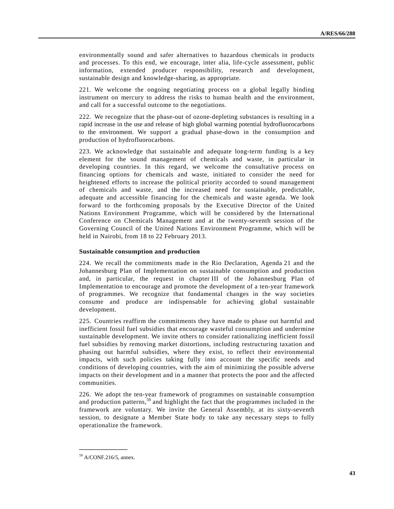environmentally sound and safer alternatives to hazardous chemicals in products and processes. To this end, we encourage, inter alia, life-cycle assessment, public information, extended producer responsibility, research and development, sustainable design and knowledge-sharing, as appropriate.

221. We welcome the ongoing negotiating process on a global legally binding instrument on mercury to address the risks to human health and the environment, and call for a successful outcome to the negotiations.

222. We recognize that the phase-out of ozone-depleting substances is resulting in a rapid increase in the use and release of high global warming potential hydrofluorocarbons to the environment. We support a gradual phase-down in the consumption and production of hydrofluorocarbons.

223. We acknowledge that sustainable and adequate long-term funding is a key element for the sound management of chemicals and waste, in particular in developing countries. In this regard, we welcome the consultative process on financing options for chemicals and waste, initiated to consider the need for heightened efforts to increase the political priority accorded to sound management of chemicals and waste, and the increased need for sustainable, predictable, adequate and accessible financing for the chemicals and waste agenda. We look forward to the forthcoming proposals by the Executive Director of the United Nations Environment Programme, which will be considered by the International Conference on Chemicals Management and at the twenty-seventh session of the Governing Council of the United Nations Environment Programme, which will be held in Nairobi, from 18 to 22 February 2013.

# **Sustainable consumption and production**

224. We recall the commitments made in the Rio Declaration, Agenda 21 and the Johannesburg Plan of Implementation on sustainable consumption and production and, in particular, the request in chapter III of the Johannesburg Plan of Implementation to encourage and promote the development of a ten-year framework of programmes. We recognize that fundamental changes in the way societies consume and produce are indispensable for achieving global sustainable development.

225. Countries reaffirm the commitments they have made to phase out harmful and inefficient fossil fuel subsidies that encourage wasteful consumption and undermine sustainable development. We invite others to consider rationalizing inefficient fossil fuel subsidies by removing market distortions, including restructuring taxation and phasing out harmful subsidies, where they exist, to reflect their environmental impacts, with such policies taking fully into account the specific needs and conditions of developing countries, with the aim of minimizing the possible adverse impacts on their development and in a manner that protects the poor and the affected communities.

226. We adopt the ten-year framework of programmes on sustainable consumption and production patterns,<sup>59</sup> and highlight the fact that the programmes included in the framework are voluntary. We invite the General Assembly, at its sixty-seventh session, to designate a Member State body to take any necessary steps to fully operationalize the framework.

**\_\_\_\_\_\_\_\_\_\_\_\_\_\_\_**  <sup>59</sup> A/CONF.216/5, annex.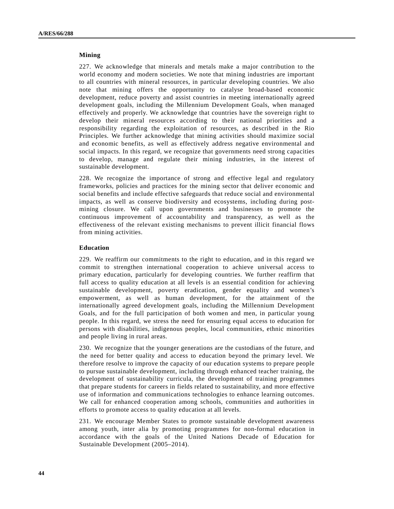# **Mining**

227. We acknowledge that minerals and metals make a major contribution to the world economy and modern societies. We note that mining industries are important to all countries with mineral resources, in particular developing countries. We also note that mining offers the opportunity to catalyse broad-based economic development, reduce poverty and assist countries in meeting internationally agreed development goals, including the Millennium Development Goals, when managed effectively and properly. We acknowledge that countries have the sovereign right to develop their mineral resources according to their national priorities and a responsibility regarding the exploitation of resources, as described in the Rio Principles. We further acknowledge that mining activities should maximize social and economic benefits, as well as effectively address negative environmental and social impacts. In this regard, we recognize that governments need strong capacities to develop, manage and regulate their mining industries, in the interest of sustainable development.

228. We recognize the importance of strong and effective legal and regulatory frameworks, policies and practices for the mining sector that deliver economic and social benefits and include effective safeguards that reduce social and environmental impacts, as well as conserve biodiversity and ecosystems, including during postmining closure. We call upon governments and businesses to promote the continuous improvement of accountability and transparency, as well as the effectiveness of the relevant existing mechanisms to prevent illicit financial flows from mining activities.

# **Education**

229. We reaffirm our commitments to the right to education, and in this regard we commit to strengthen international cooperation to achieve universal access to primary education, particularly for developing countries. We further reaffirm that full access to quality education at all levels is an essential condition for achieving sustainable development, poverty eradication, gender equality and women's empowerment, as well as human development, for the attainment of the internationally agreed development goals, including the Millennium Development Goals, and for the full participation of both women and men, in particular young people. In this regard, we stress the need for ensuring equal access to education for persons with disabilities, indigenous peoples, local communities, ethnic minorities and people living in rural areas.

230. We recognize that the younger generations are the custodians of the future, and the need for better quality and access to education beyond the primary level. We therefore resolve to improve the capacity of our education systems to prepare people to pursue sustainable development, including through enhanced teacher training, the development of sustainability curricula, the development of training programmes that prepare students for careers in fields related to sustainability, and more effective use of information and communications technologies to enhance learning outcomes. We call for enhanced cooperation among schools, communities and authorities in efforts to promote access to quality education at all levels.

231. We encourage Member States to promote sustainable development awareness among youth, inter alia by promoting programmes for non-formal education in accordance with the goals of the United Nations Decade of Education for Sustainable Development (2005–2014).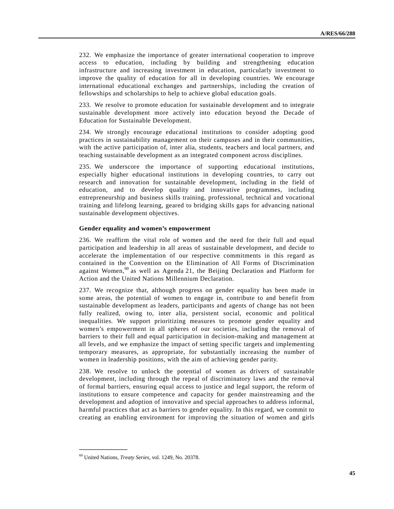232. We emphasize the importance of greater international cooperation to improve access to education, including by building and strengthening education infrastructure and increasing investment in education, particularly investment to improve the quality of education for all in developing countries. We encourage international educational exchanges and partnerships, including the creation of fellowships and scholarships to help to achieve global education goals.

233. We resolve to promote education for sustainable development and to integrate sustainable development more actively into education beyond the Decade of Education for Sustainable Development.

234. We strongly encourage educational institutions to consider adopting good practices in sustainability management on their campuses and in their communities, with the active participation of, inter alia, students, teachers and local partners, and teaching sustainable development as an integrated component across disciplines.

235. We underscore the importance of supporting educational institutions, especially higher educational institutions in developing countries, to carry out research and innovation for sustainable development, including in the field of education, and to develop quality and innovative programmes, including entrepreneurship and business skills training, professional, technical and vocational training and lifelong learning, geared to bridging skills gaps for advancing national sustainable development objectives.

# **Gender equality and women's empowerment**

236. We reaffirm the vital role of women and the need for their full and equal participation and leadership in all areas of sustainable development, and decide to accelerate the implementation of our respective commitments in this regard as contained in the Convention on the Elimination of All Forms of Discrimination against Women,  $60$  as well as Agenda 21, the Beijing Declaration and Platform for Action and the United Nations Millennium Declaration.

237. We recognize that, although progress on gender equality has been made in some areas, the potential of women to engage in, contribute to and benefit from sustainable development as leaders, participants and agents of change has not been fully realized, owing to, inter alia, persistent social, economic and political inequalities. We support prioritizing measures to promote gender equality and women's empowerment in all spheres of our societies, including the removal of barriers to their full and equal participation in decision-making and management at all levels, and we emphasize the impact of setting specific targets and implementing temporary measures, as appropriate, for substantially increasing the number of women in leadership positions, with the aim of achieving gender parity.

238. We resolve to unlock the potential of women as drivers of sustainable development, including through the repeal of discriminatory laws and the removal of formal barriers, ensuring equal access to justice and legal support, the reform of institutions to ensure competence and capacity for gender mainstreaming and the development and adoption of innovative and special approaches to address informal, harmful practices that act as barriers to gender equality. In this regard, we commit to creating an enabling environment for improving the situation of women and girls

<sup>60</sup> United Nations, *Treaty Series*, vol. 1249, No. 20378.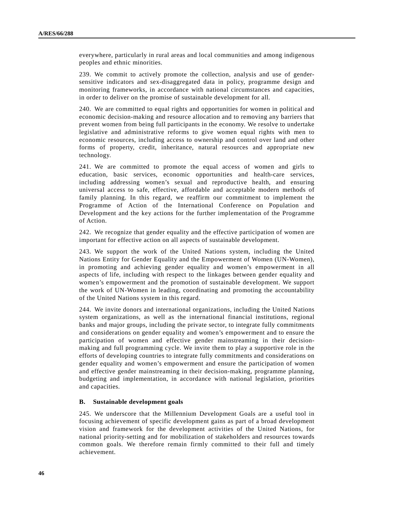everywhere, particularly in rural areas and local communities and among indigenous peoples and ethnic minorities.

239. We commit to actively promote the collection, analysis and use of gendersensitive indicators and sex-disaggregated data in policy, programme design and monitoring frameworks, in accordance with national circumstances and capacities, in order to deliver on the promise of sustainable development for all.

240. We are committed to equal rights and opportunities for women in political and economic decision-making and resource allocation and to removing any barriers that prevent women from being full participants in the economy. We resolve to undertake legislative and administrative reforms to give women equal rights with men to economic resources, including access to ownership and control over land and other forms of property, credit, inheritance, natural resources and appropriate new technology.

241. We are committed to promote the equal access of women and girls to education, basic services, economic opportunities and health-care services, including addressing women's sexual and reproductive health, and ensuring universal access to safe, effective, affordable and acceptable modern methods of family planning. In this regard, we reaffirm our commitment to implement the Programme of Action of the International Conference on Population and Development and the key actions for the further implementation of the Programme of Action.

242. We recognize that gender equality and the effective participation of women are important for effective action on all aspects of sustainable development.

243. We support the work of the United Nations system, including the United Nations Entity for Gender Equality and the Empowerment of Women (UN-Women), in promoting and achieving gender equality and women's empowerment in all aspects of life, including with respect to the linkages between gender equality and women's empowerment and the promotion of sustainable development. We support the work of UN-Women in leading, coordinating and promoting the accountability of the United Nations system in this regard.

244. We invite donors and international organizations, including the United Nations system organizations, as well as the international financial institutions, regional banks and major groups, including the private sector, to integrate fully commitments and considerations on gender equality and women's empowerment and to ensure the participation of women and effective gender mainstreaming in their decisionmaking and full programming cycle. We invite them to play a supportive role in the efforts of developing countries to integrate fully commitments and considerations on gender equality and women's empowerment and ensure the participation of women and effective gender mainstreaming in their decision-making, programme planning, budgeting and implementation, in accordance with national legislation, priorities and capacities.

## **B. Sustainable development goals**

245. We underscore that the Millennium Development Goals are a useful tool in focusing achievement of specific development gains as part of a broad development vision and framework for the development activities of the United Nations, for national priority-setting and for mobilization of stakeholders and resources towards common goals. We therefore remain firmly committed to their full and timely achievement.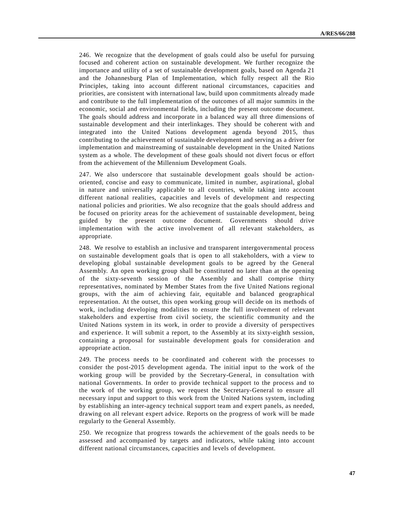246. We recognize that the development of goals could also be useful for pursuing focused and coherent action on sustainable development. We further recognize the importance and utility of a set of sustainable development goals, based on Agenda 21 and the Johannesburg Plan of Implementation, which fully respect all the Rio Principles, taking into account different national circumstances, capacities and priorities, are consistent with international law, build upon commitments already made and contribute to the full implementation of the outcomes of all major summits in the economic, social and environmental fields, including the present outcome document. The goals should address and incorporate in a balanced way all three dimensions of sustainable development and their interlinkages. They should be coherent with and integrated into the United Nations development agenda beyond 2015, thus contributing to the achievement of sustainable development and serving as a driver for implementation and mainstreaming of sustainable development in the United Nations system as a whole. The development of these goals should not divert focus or effort from the achievement of the Millennium Development Goals.

247. We also underscore that sustainable development goals should be actionoriented, concise and easy to communicate, limited in number, aspirational, global in nature and universally applicable to all countries, while taking into account different national realities, capacities and levels of development and respecting national policies and priorities. We also recognize that the goals should address and be focused on priority areas for the achievement of sustainable development, being guided by the present outcome document. Governments should drive implementation with the active involvement of all relevant stakeholders, as appropriate.

248. We resolve to establish an inclusive and transparent intergovernmental process on sustainable development goals that is open to all stakeholders, with a view to developing global sustainable development goals to be agreed by the General Assembly. An open working group shall be constituted no later than at the opening of the sixty-seventh session of the Assembly and shall comprise thirty representatives, nominated by Member States from the five United Nations regional groups, with the aim of achieving fair, equitable and balanced geographical representation. At the outset, this open working group will decide on its methods of work, including developing modalities to ensure the full involvement of relevant stakeholders and expertise from civil society, the scientific community and the United Nations system in its work, in order to provide a diversity of perspectives and experience. It will submit a report, to the Assembly at its sixty-eighth session, containing a proposal for sustainable development goals for consideration and appropriate action.

249. The process needs to be coordinated and coherent with the processes to consider the post-2015 development agenda. The initial input to the work of the working group will be provided by the Secretary-General, in consultation with national Governments. In order to provide technical support to the process and to the work of the working group, we request the Secretary-General to ensure all necessary input and support to this work from the United Nations system, including by establishing an inter-agency technical support team and expert panels, as needed, drawing on all relevant expert advice. Reports on the progress of work will be made regularly to the General Assembly.

250. We recognize that progress towards the achievement of the goals needs to be assessed and accompanied by targets and indicators, while taking into account different national circumstances, capacities and levels of development.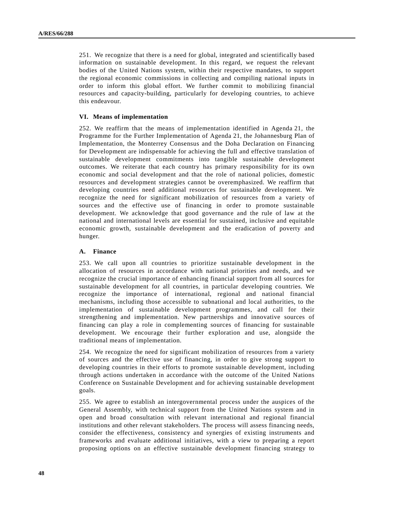251. We recognize that there is a need for global, integrated and scientifically based information on sustainable development. In this regard, we request the relevant bodies of the United Nations system, within their respective mandates, to support the regional economic commissions in collecting and compiling national inputs in order to inform this global effort. We further commit to mobilizing financial resources and capacity-building, particularly for developing countries, to achieve this endeavour.

## **VI. Means of implementation**

252. We reaffirm that the means of implementation identified in Agenda 21, the Programme for the Further Implementation of Agenda 21, the Johannesburg Plan of Implementation, the Monterrey Consensus and the Doha Declaration on Financing for Development are indispensable for achieving the full and effective translation of sustainable development commitments into tangible sustainable development outcomes. We reiterate that each country has primary responsibility for its own economic and social development and that the role of national policies, domestic resources and development strategies cannot be overemphasized. We reaffirm that developing countries need additional resources for sustainable development. We recognize the need for significant mobilization of resources from a variety of sources and the effective use of financing in order to promote sustainable development. We acknowledge that good governance and the rule of law at the national and international levels are essential for sustained, inclusive and equitable economic growth, sustainable development and the eradication of poverty and hunger.

# **A. Finance**

253. We call upon all countries to prioritize sustainable development in the allocation of resources in accordance with national priorities and needs, and we recognize the crucial importance of enhancing financial support from all sources for sustainable development for all countries, in particular developing countries. We recognize the importance of international, regional and national financial mechanisms, including those accessible to subnational and local authorities, to the implementation of sustainable development programmes, and call for their strengthening and implementation. New partnerships and innovative sources of financing can play a role in complementing sources of financing for sustainable development. We encourage their further exploration and use, alongside the traditional means of implementation.

254. We recognize the need for significant mobilization of resources from a variety of sources and the effective use of financing, in order to give strong support to developing countries in their efforts to promote sustainable development, including through actions undertaken in accordance with the outcome of the United Nations Conference on Sustainable Development and for achieving sustainable development goals.

255. We agree to establish an intergovernmental process under the auspices of the General Assembly, with technical support from the United Nations system and in open and broad consultation with relevant international and regional financial institutions and other relevant stakeholders. The process will assess financing needs, consider the effectiveness, consistency and synergies of existing instruments and frameworks and evaluate additional initiatives, with a view to preparing a report proposing options on an effective sustainable development financing strategy to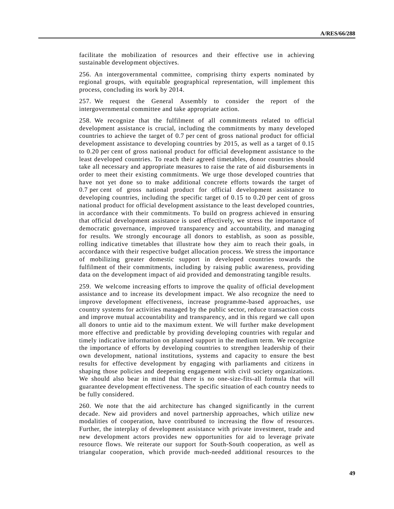facilitate the mobilization of resources and their effective use in achieving sustainable development objectives.

256. An intergovernmental committee, comprising thirty experts nominated by regional groups, with equitable geographical representation, will implement this process, concluding its work by 2014.

257. We request the General Assembly to consider the report of the intergovernmental committee and take appropriate action.

258. We recognize that the fulfilment of all commitments related to official development assistance is crucial, including the commitments by many developed countries to achieve the target of 0.7 per cent of gross national product for official development assistance to developing countries by 2015, as well as a target of 0.15 to 0.20 per cent of gross national product for official development assistance to the least developed countries. To reach their agreed timetables, donor countries should take all necessary and appropriate measures to raise the rate of aid disbursements in order to meet their existing commitments. We urge those developed countries that have not yet done so to make additional concrete efforts towards the target of 0.7 per cent of gross national product for official development assistance to developing countries, including the specific target of 0.15 to 0.20 per cent of gross national product for official development assistance to the least developed countries, in accordance with their commitments. To build on progress achieved in ensuring that official development assistance is used effectively, we stress the importance of democratic governance, improved transparency and accountability, and managing for results. We strongly encourage all donors to establish, as soon as possible, rolling indicative timetables that illustrate how they aim to reach their goals, in accordance with their respective budget allocation process. We stress the importance of mobilizing greater domestic support in developed countries towards the fulfilment of their commitments, including by raising public awareness, providing data on the development impact of aid provided and demonstrating tangible results.

259. We welcome increasing efforts to improve the quality of official development assistance and to increase its development impact. We also recognize the need to improve development effectiveness, increase programme-based approaches, use country systems for activities managed by the public sector, reduce transaction costs and improve mutual accountability and transparency, and in this regard we call upon all donors to untie aid to the maximum extent. We will further make development more effective and predictable by providing developing countries with regular and timely indicative information on planned support in the medium term. We recognize the importance of efforts by developing countries to strengthen leadership of their own development, national institutions, systems and capacity to ensure the best results for effective development by engaging with parliaments and citizens in shaping those policies and deepening engagement with civil society organizations. We should also bear in mind that there is no one-size-fits-all formula that will guarantee development effectiveness. The specific situation of each country needs to be fully considered.

260. We note that the aid architecture has changed significantly in the current decade. New aid providers and novel partnership approaches, which utilize new modalities of cooperation, have contributed to increasing the flow of resources. Further, the interplay of development assistance with private investment, trade and new development actors provides new opportunities for aid to leverage private resource flows. We reiterate our support for South-South cooperation, as well as triangular cooperation, which provide much-needed additional resources to the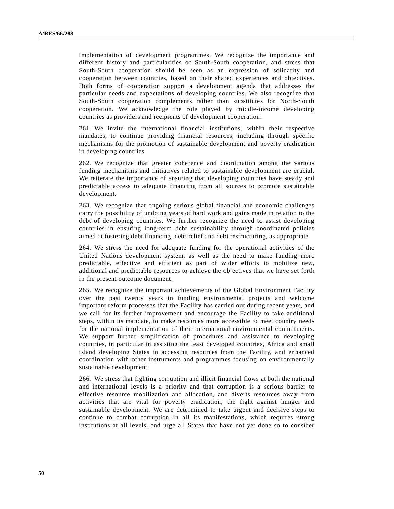implementation of development programmes. We recognize the importance and different history and particularities of South-South cooperation, and stress that South-South cooperation should be seen as an expression of solidarity and cooperation between countries, based on their shared experiences and objectives. Both forms of cooperation support a development agenda that addresses the particular needs and expectations of developing countries. We also recognize that South-South cooperation complements rather than substitutes for North-South cooperation. We acknowledge the role played by middle-income developing countries as providers and recipients of development cooperation.

261. We invite the international financial institutions, within their respective mandates, to continue providing financial resources, including through specific mechanisms for the promotion of sustainable development and poverty eradication in developing countries.

262. We recognize that greater coherence and coordination among the various funding mechanisms and initiatives related to sustainable development are crucial. We reiterate the importance of ensuring that developing countries have steady and predictable access to adequate financing from all sources to promote sustainable development.

263. We recognize that ongoing serious global financial and economic challenges carry the possibility of undoing years of hard work and gains made in relation to the debt of developing countries. We further recognize the need to assist developing countries in ensuring long-term debt sustainability through coordinated policies aimed at fostering debt financing, debt relief and debt restructuring, as appropriate.

264. We stress the need for adequate funding for the operational activities of the United Nations development system, as well as the need to make funding more predictable, effective and efficient as part of wider efforts to mobilize new, additional and predictable resources to achieve the objectives that we have set forth in the present outcome document.

265. We recognize the important achievements of the Global Environment Facility over the past twenty years in funding environmental projects and welcome important reform processes that the Facility has carried out during recent years, and we call for its further improvement and encourage the Facility to take additional steps, within its mandate, to make resources more accessible to meet country needs for the national implementation of their international environmental commitments. We support further simplification of procedures and assistance to developing countries, in particular in assisting the least developed countries, Africa and small island developing States in accessing resources from the Facility, and enhanced coordination with other instruments and programmes focusing on environmentally sustainable development.

266. We stress that fighting corruption and illicit financial flows at both the national and international levels is a priority and that corruption is a serious barrier to effective resource mobilization and allocation, and diverts resources away from activities that are vital for poverty eradication, the fight against hunger and sustainable development. We are determined to take urgent and decisive steps to continue to combat corruption in all its manifestations, which requires strong institutions at all levels, and urge all States that have not yet done so to consider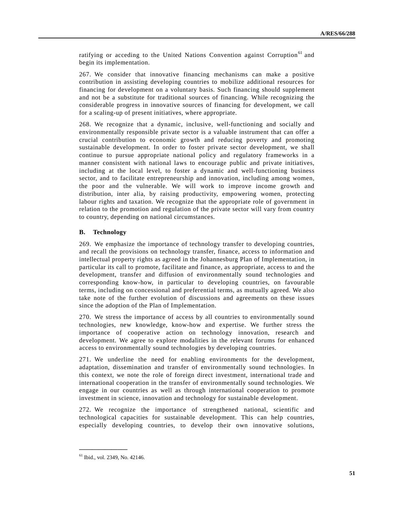ratifying or acceding to the United Nations Convention against Corruption<sup>61</sup> and begin its implementation.

267. We consider that innovative financing mechanisms can make a positive contribution in assisting developing countries to mobilize additional resources for financing for development on a voluntary basis. Such financing should supplement and not be a substitute for traditional sources of financing. While recognizing the considerable progress in innovative sources of financing for development, we call for a scaling-up of present initiatives, where appropriate.

268. We recognize that a dynamic, inclusive, well-functioning and socially and environmentally responsible private sector is a valuable instrument that can offer a crucial contribution to economic growth and reducing poverty and promoting sustainable development. In order to foster private sector development, we shall continue to pursue appropriate national policy and regulatory frameworks in a manner consistent with national laws to encourage public and private initiatives, including at the local level, to foster a dynamic and well-functioning business sector, and to facilitate entrepreneurship and innovation, including among women, the poor and the vulnerable. We will work to improve income growth and distribution, inter alia, by raising productivity, empowering women, protecting labour rights and taxation. We recognize that the appropriate role of government in relation to the promotion and regulation of the private sector will vary from country to country, depending on national circumstances.

# **B. Technology**

269. We emphasize the importance of technology transfer to developing countries, and recall the provisions on technology transfer, finance, access to information and intellectual property rights as agreed in the Johannesburg Plan of Implementation, in particular its call to promote, facilitate and finance, as appropriate, access to and the development, transfer and diffusion of environmentally sound technologies and corresponding know-how, in particular to developing countries, on favourable terms, including on concessional and preferential terms, as mutually agreed. We also take note of the further evolution of discussions and agreements on these issues since the adoption of the Plan of Implementation.

270. We stress the importance of access by all countries to environmentally sound technologies, new knowledge, know-how and expertise. We further stress the importance of cooperative action on technology innovation, research and development. We agree to explore modalities in the relevant forums for enhanced access to environmentally sound technologies by developing countries.

271. We underline the need for enabling environments for the development, adaptation, dissemination and transfer of environmentally sound technologies. In this context, we note the role of foreign direct investment, international trade and international cooperation in the transfer of environmentally sound technologies. We engage in our countries as well as through international cooperation to promote investment in science, innovation and technology for sustainable development.

272. We recognize the importance of strengthened national, scientific and technological capacities for sustainable development. This can help countries, especially developing countries, to develop their own innovative solutions,

<sup>61</sup> Ibid., vol. 2349, No. 42146.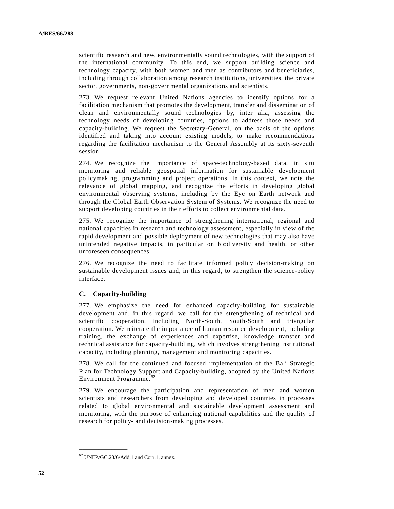scientific research and new, environmentally sound technologies, with the support of the international community. To this end, we support building science and technology capacity, with both women and men as contributors and beneficiaries, including through collaboration among research institutions, universities, the private sector, governments, non-governmental organizations and scientists.

273. We request relevant United Nations agencies to identify options for a facilitation mechanism that promotes the development, transfer and dissemination of clean and environmentally sound technologies by, inter alia, assessing the technology needs of developing countries, options to address those needs and capacity-building. We request the Secretary-General, on the basis of the options identified and taking into account existing models, to make recommendations regarding the facilitation mechanism to the General Assembly at its sixty-seventh session.

274. We recognize the importance of space-technology-based data, in situ monitoring and reliable geospatial information for sustainable development policymaking, programming and project operations. In this context, we note the relevance of global mapping, and recognize the efforts in developing global environmental observing systems, including by the Eye on Earth network and through the Global Earth Observation System of Systems. We recognize the need to support developing countries in their efforts to collect environmental data.

275. We recognize the importance of strengthening international, regional and national capacities in research and technology assessment, especially in view of the rapid development and possible deployment of new technologies that may also have unintended negative impacts, in particular on biodiversity and health, or other unforeseen consequences.

276. We recognize the need to facilitate informed policy decision-making on sustainable development issues and, in this regard, to strengthen the science-policy interface.

# **C. Capacity-building**

277. We emphasize the need for enhanced capacity-building for sustainable development and, in this regard, we call for the strengthening of technical and scientific cooperation, including North-South, South-South and triangular cooperation. We reiterate the importance of human resource development, including training, the exchange of experiences and expertise, knowledge transfer and technical assistance for capacity-building, which involves strengthening institutional capacity, including planning, management and monitoring capacities.

278. We call for the continued and focused implementation of the Bali Strategic Plan for Technology Support and Capacity-building, adopted by the United Nations Environment Programme.<sup>62</sup>

279. We encourage the participation and representation of men and women scientists and researchers from developing and developed countries in processes related to global environmental and sustainable development assessment and monitoring, with the purpose of enhancing national capabilities and the quality of research for policy- and decision-making processes.

<sup>62</sup> UNEP/GC.23/6/Add.1 and Corr.1, annex.